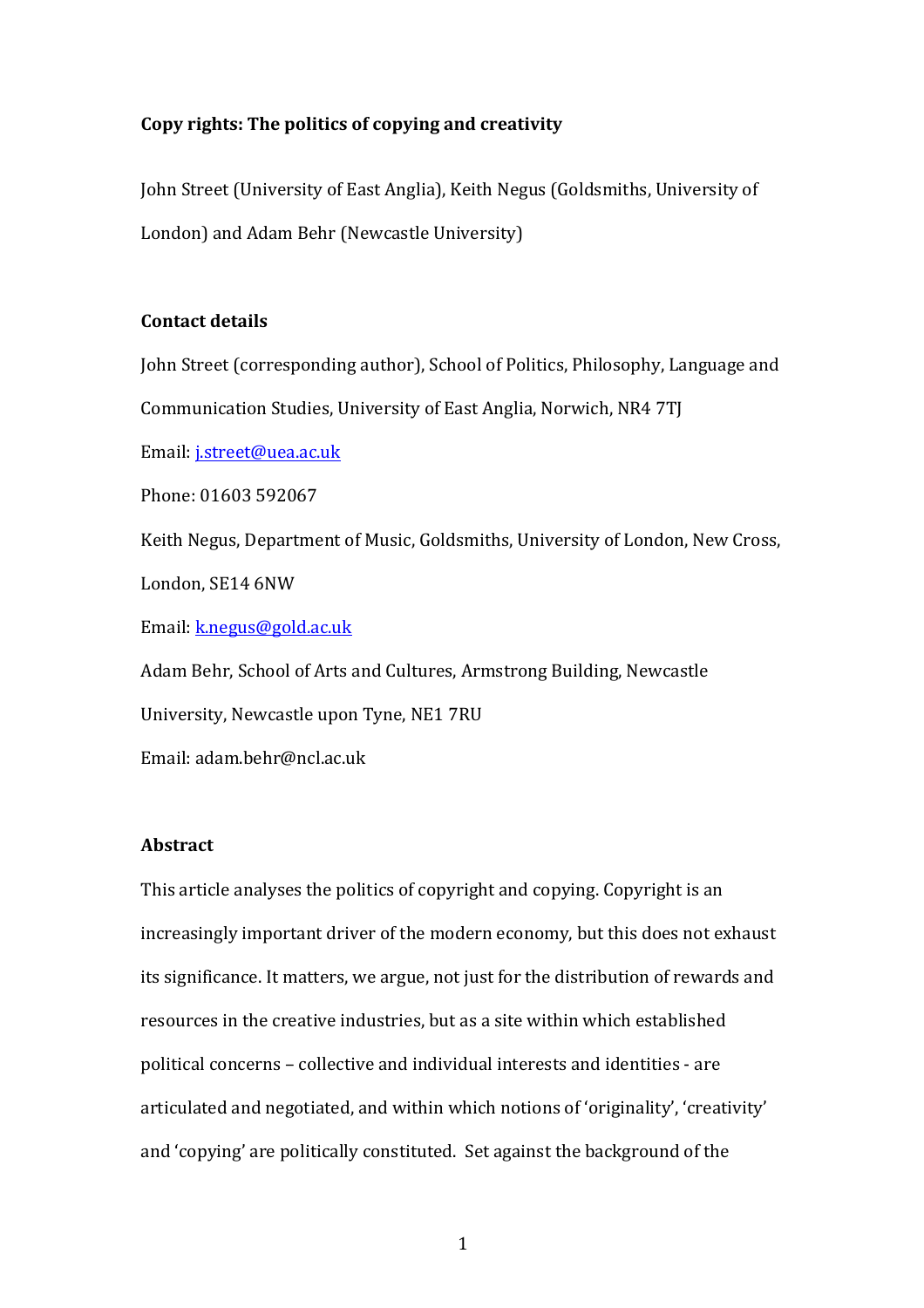# Copy rights: The politics of copying and creativity

John Street (University of East Anglia), Keith Negus (Goldsmiths, University of London) and Adam Behr (Newcastle University)

### **Contact details**

John Street (corresponding author), School of Politics, Philosophy, Language and Communication Studies, University of East Anglia, Norwich, NR4 7TJ

Email: j.street@uea.ac.uk

Phone: 01603 592067

Keith Negus, Department of Music, Goldsmiths, University of London, New Cross, London, SE14 6NW

Email: k.negus@gold.ac.uk

Adam Behr, School of Arts and Cultures, Armstrong Building, Newcastle

University, Newcastle upon Tyne, NE1 7RU

Email: adam.behr@ncl.ac.uk

## **Abstract**

This article analyses the politics of copyright and copying. Copyright is an increasingly important driver of the modern economy, but this does not exhaust its significance. It matters, we argue, not just for the distribution of rewards and resources in the creative industries, but as a site within which established political concerns – collective and individual interests and identities - are articulated and negotiated, and within which notions of 'originality', 'creativity' and 'copying' are politically constituted. Set against the background of the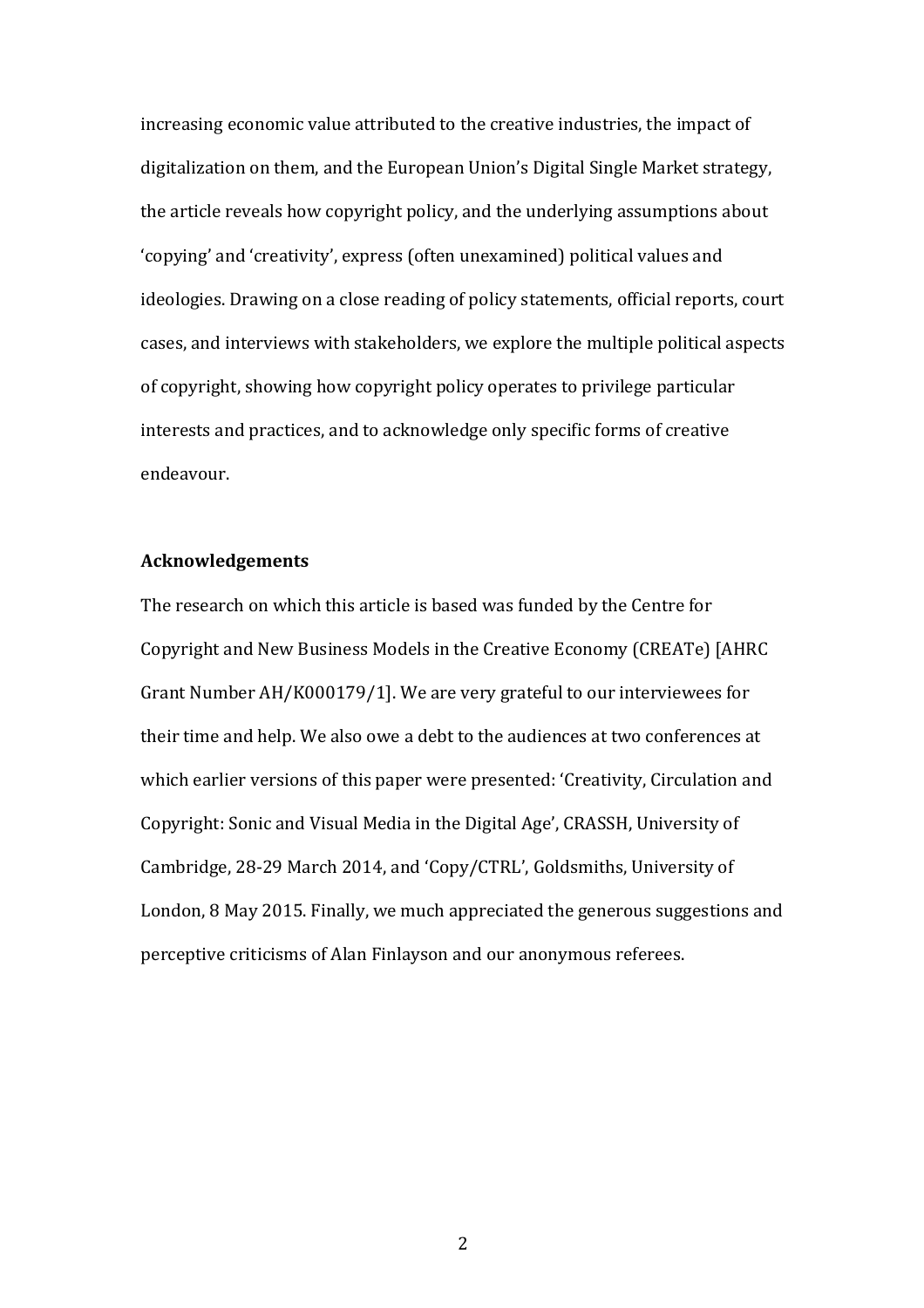increasing economic value attributed to the creative industries, the impact of digitalization on them, and the European Union's Digital Single Market strategy, the article reveals how copyright policy, and the underlying assumptions about 'copying' and 'creativity', express (often unexamined) political values and ideologies. Drawing on a close reading of policy statements, official reports, court cases, and interviews with stakeholders, we explore the multiple political aspects of copyright, showing how copyright policy operates to privilege particular interests and practices, and to acknowledge only specific forms of creative endeavour.

### **Acknowledgements**

The research on which this article is based was funded by the Centre for Copyright and New Business Models in the Creative Economy (CREATe) [AHRC] Grant Number AH/K000179/1]. We are very grateful to our interviewees for their time and help. We also owe a debt to the audiences at two conferences at which earlier versions of this paper were presented: 'Creativity, Circulation and Copyright: Sonic and Visual Media in the Digital Age', CRASSH, University of Cambridge, 28-29 March 2014, and 'Copy/CTRL', Goldsmiths, University of London, 8 May 2015. Finally, we much appreciated the generous suggestions and perceptive criticisms of Alan Finlayson and our anonymous referees.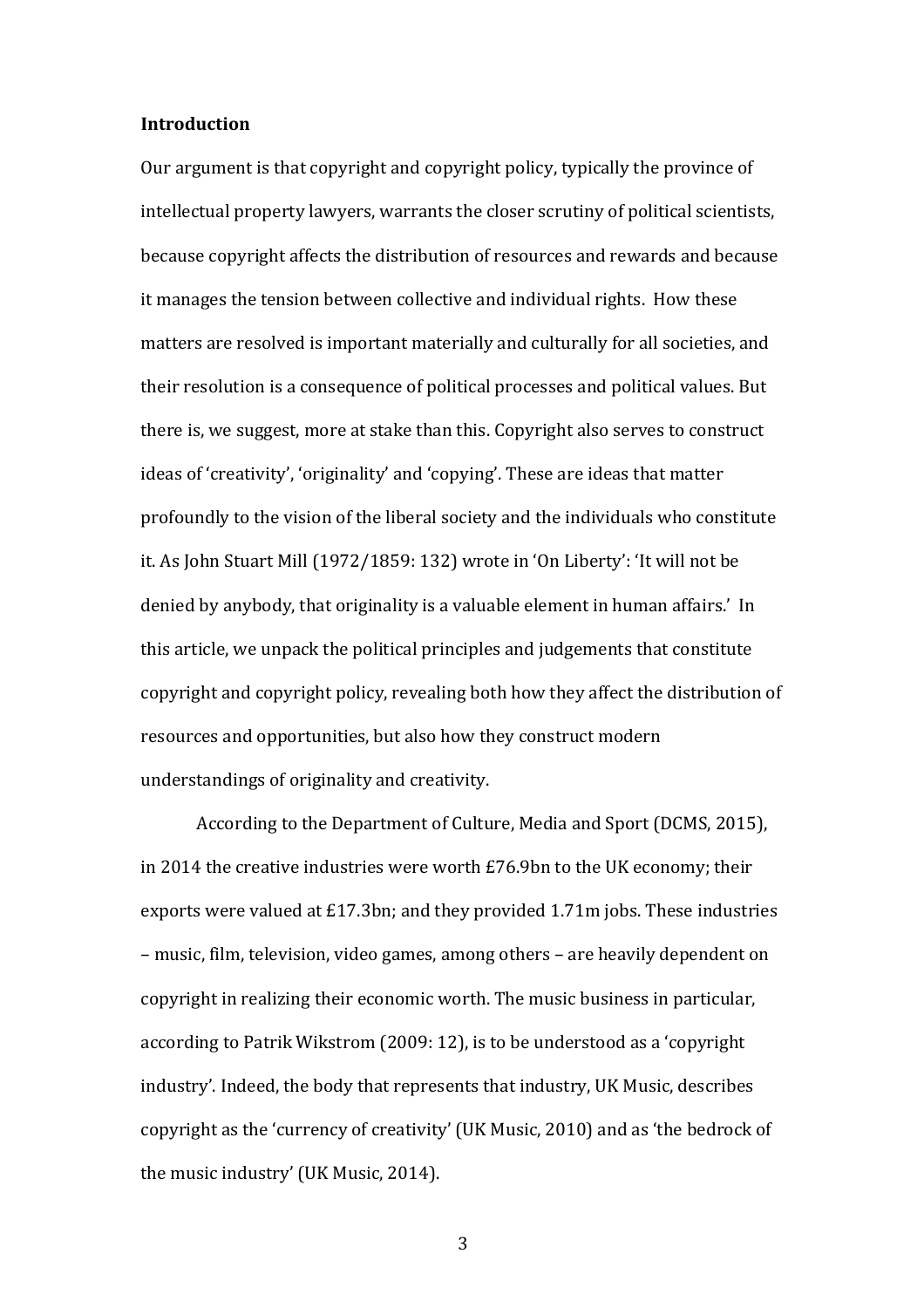### **Introduction**

Our argument is that copyright and copyright policy, typically the province of intellectual property lawyers, warrants the closer scrutiny of political scientists, because copyright affects the distribution of resources and rewards and because it manages the tension between collective and individual rights. How these matters are resolved is important materially and culturally for all societies, and their resolution is a consequence of political processes and political values. But there is, we suggest, more at stake than this. Copyright also serves to construct ideas of 'creativity', 'originality' and 'copying'. These are ideas that matter profoundly to the vision of the liberal society and the individuals who constitute it. As John Stuart Mill (1972/1859: 132) wrote in 'On Liberty': 'It will not be denied by anybody, that originality is a valuable element in human affairs.' In this article, we unpack the political principles and judgements that constitute copyright and copyright policy, revealing both how they affect the distribution of resources and opportunities, but also how they construct modern understandings of originality and creativity.

According to the Department of Culture, Media and Sport (DCMS, 2015), in 2014 the creative industries were worth  $E76.9$ bn to the UK economy; their exports were valued at  $£17.3$ bn; and they provided  $1.71$ m jobs. These industries – music, film, television, video games, among others – are heavily dependent on copyright in realizing their economic worth. The music business in particular, according to Patrik Wikstrom (2009: 12), is to be understood as a 'copyright industry'. Indeed, the body that represents that industry, UK Music, describes copyright as the 'currency of creativity' (UK Music, 2010) and as 'the bedrock of the music industry' (UK Music, 2014).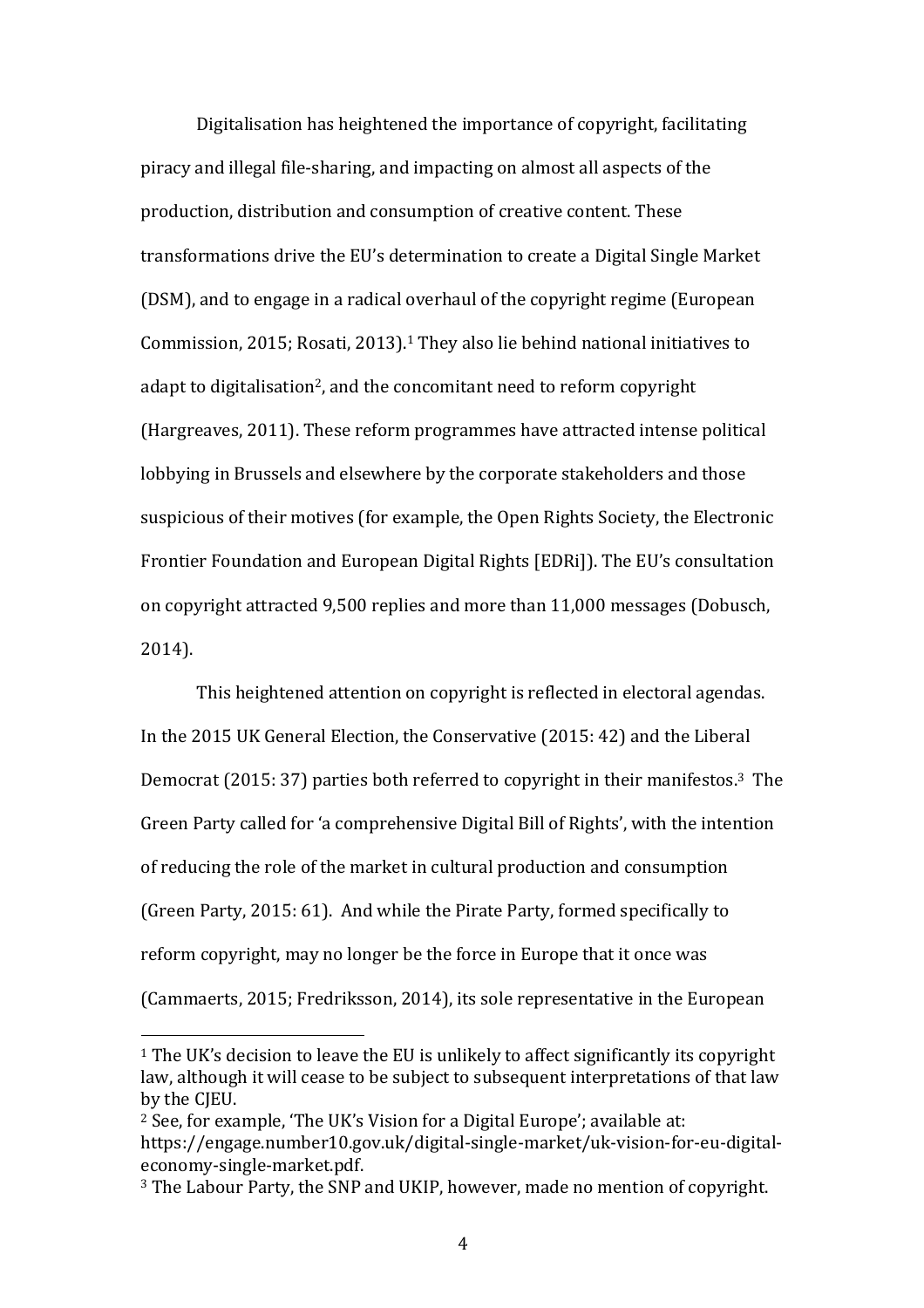Digitalisation has heightened the importance of copyright, facilitating piracy and illegal file-sharing, and impacting on almost all aspects of the production, distribution and consumption of creative content. These transformations drive the EU's determination to create a Digital Single Market (DSM), and to engage in a radical overhaul of the copyright regime (European Commission, 2015; Rosati, 2013).<sup>1</sup> They also lie behind national initiatives to adapt to digitalisation<sup>2</sup>, and the concomitant need to reform copyright (Hargreaves, 2011). These reform programmes have attracted intense political lobbying in Brussels and elsewhere by the corporate stakeholders and those suspicious of their motives (for example, the Open Rights Society, the Electronic Frontier Foundation and European Digital Rights [EDRi]). The EU's consultation on copyright attracted 9,500 replies and more than 11,000 messages (Dobusch, 2014). 

This heightened attention on copyright is reflected in electoral agendas. In the 2015 UK General Election, the Conservative (2015: 42) and the Liberal Democrat (2015: 37) parties both referred to copyright in their manifestos.<sup>3</sup> The Green Party called for 'a comprehensive Digital Bill of Rights', with the intention of reducing the role of the market in cultural production and consumption (Green Party, 2015: 61). And while the Pirate Party, formed specifically to reform copyright, may no longer be the force in Europe that it once was (Cammaerts, 2015; Fredriksson, 2014), its sole representative in the European

 $1$  The UK's decision to leave the EU is unlikely to affect significantly its copyright law, although it will cease to be subject to subsequent interpretations of that law by the CIEU.

 $2$  See, for example, 'The UK's Vision for a Digital Europe'; available at: https://engage.number10.gov.uk/digital-single-market/uk-vision-for-eu-digitaleconomy-single-market.pdf.

<sup>&</sup>lt;sup>3</sup> The Labour Party, the SNP and UKIP, however, made no mention of copyright.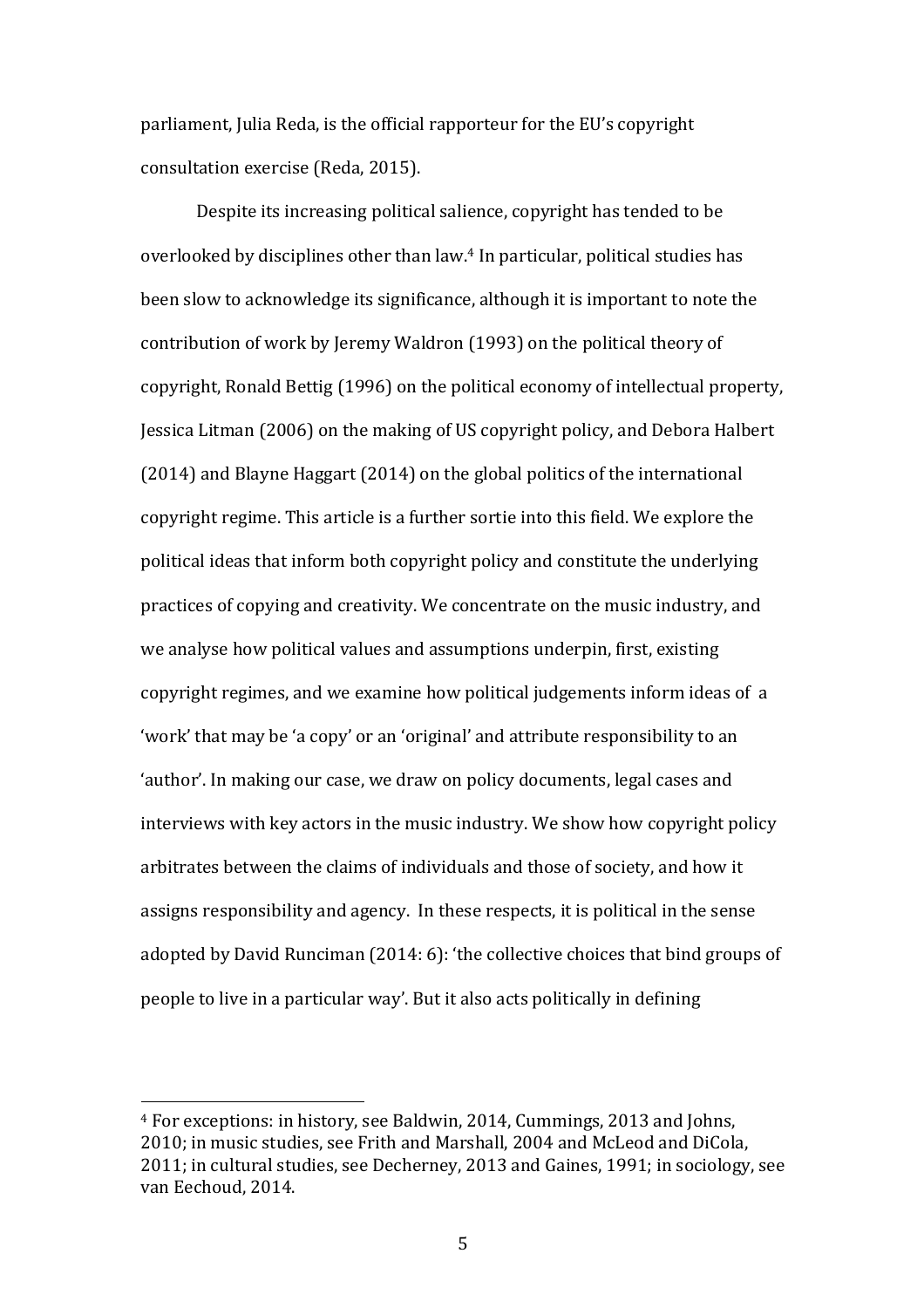parliament, Julia Reda, is the official rapporteur for the EU's copyright consultation exercise (Reda, 2015).

Despite its increasing political salience, copyright has tended to be overlooked by disciplines other than law.<sup>4</sup> In particular, political studies has been slow to acknowledge its significance, although it is important to note the contribution of work by Jeremy Waldron (1993) on the political theory of copyright, Ronald Bettig (1996) on the political economy of intellectual property, Jessica Litman (2006) on the making of US copyright policy, and Debora Halbert  $(2014)$  and Blayne Haggart  $(2014)$  on the global politics of the international copyright regime. This article is a further sortie into this field. We explore the political ideas that inform both copyright policy and constitute the underlying practices of copying and creativity. We concentrate on the music industry, and we analyse how political values and assumptions underpin, first, existing copyright regimes, and we examine how political judgements inform ideas of a 'work' that may be 'a copy' or an 'original' and attribute responsibility to an 'author'. In making our case, we draw on policy documents, legal cases and interviews with key actors in the music industry. We show how copyright policy arbitrates between the claims of individuals and those of society, and how it assigns responsibility and agency. In these respects, it is political in the sense adopted by David Runciman (2014: 6): 'the collective choices that bind groups of people to live in a particular way'. But it also acts politically in defining

<sup>&</sup>lt;sup>4</sup> For exceptions: in history, see Baldwin, 2014, Cummings, 2013 and Johns, 2010; in music studies, see Frith and Marshall, 2004 and McLeod and DiCola,  $2011$ ; in cultural studies, see Decherney,  $2013$  and Gaines,  $1991$ ; in sociology, see van Eechoud, 2014.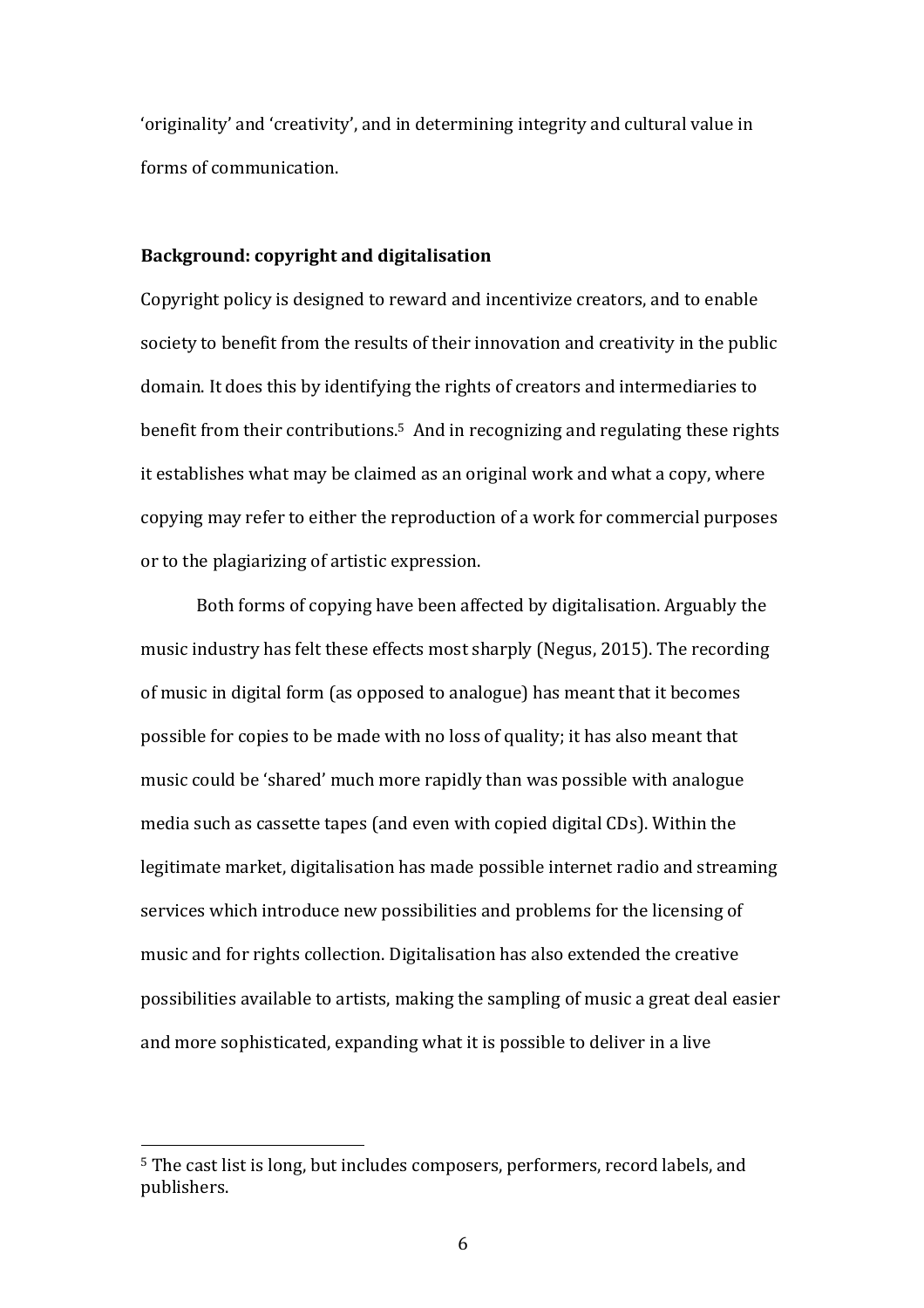'originality' and 'creativity', and in determining integrity and cultural value in forms of communication.

## **Background: copyright and digitalisation**

Copyright policy is designed to reward and incentivize creators, and to enable society to benefit from the results of their innovation and creativity in the public domain. It does this by identifying the rights of creators and intermediaries to benefit from their contributions.<sup>5</sup> And in recognizing and regulating these rights it establishes what may be claimed as an original work and what a copy, where copying may refer to either the reproduction of a work for commercial purposes or to the plagiarizing of artistic expression.

Both forms of copying have been affected by digitalisation. Arguably the music industry has felt these effects most sharply (Negus, 2015). The recording of music in digital form (as opposed to analogue) has meant that it becomes possible for copies to be made with no loss of quality; it has also meant that music could be 'shared' much more rapidly than was possible with analogue media such as cassette tapes (and even with copied digital CDs). Within the legitimate market, digitalisation has made possible internet radio and streaming services which introduce new possibilities and problems for the licensing of music and for rights collection. Digitalisation has also extended the creative possibilities available to artists, making the sampling of music a great deal easier and more sophisticated, expanding what it is possible to deliver in a live

<sup>&</sup>lt;sup>5</sup> The cast list is long, but includes composers, performers, record labels, and publishers.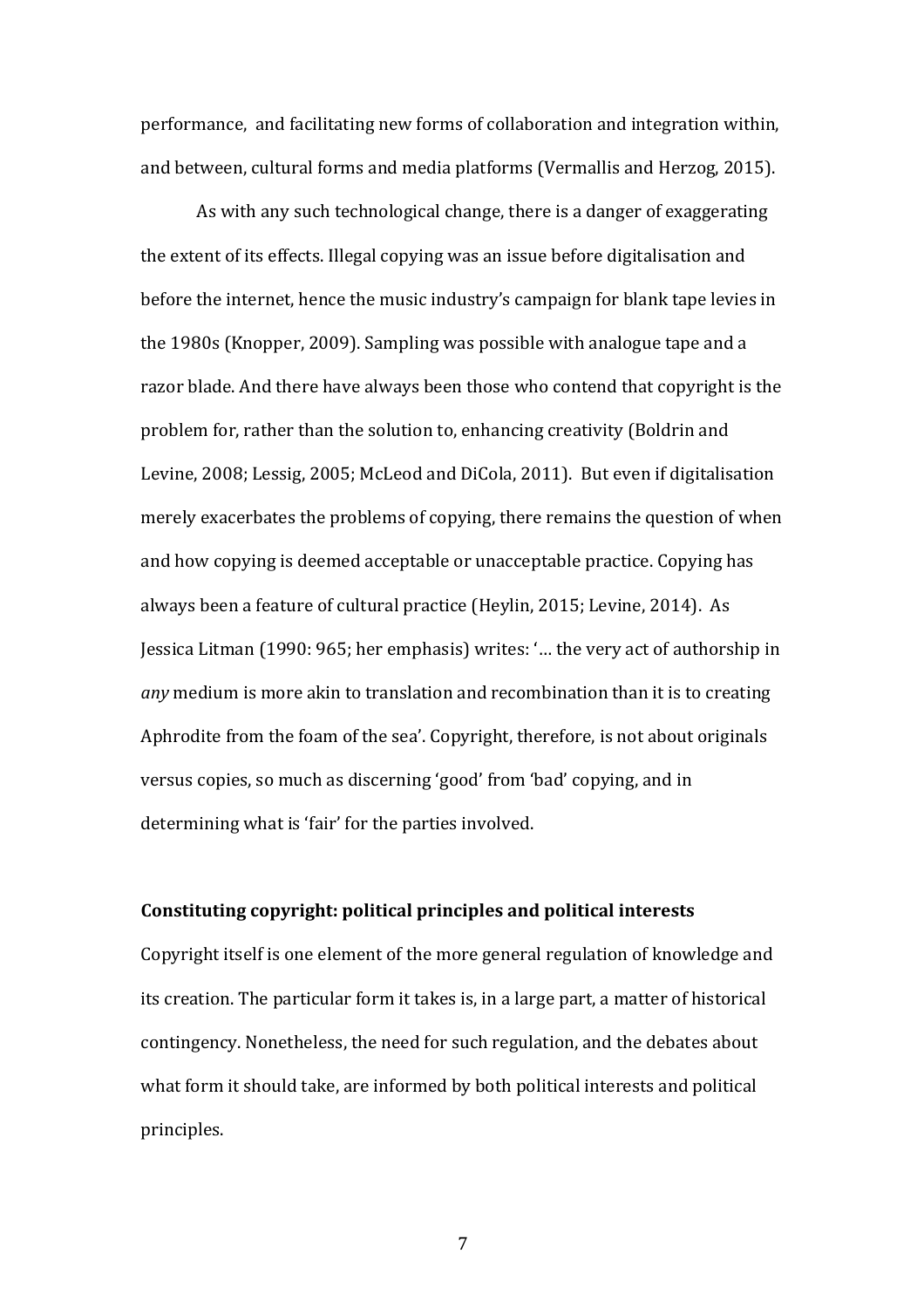performance, and facilitating new forms of collaboration and integration within, and between, cultural forms and media platforms (Vermallis and Herzog, 2015).

As with any such technological change, there is a danger of exaggerating the extent of its effects. Illegal copying was an issue before digitalisation and before the internet, hence the music industry's campaign for blank tape levies in the 1980s (Knopper, 2009). Sampling was possible with analogue tape and a razor blade. And there have always been those who contend that copyright is the problem for, rather than the solution to, enhancing creativity (Boldrin and Levine, 2008; Lessig, 2005; McLeod and DiCola, 2011). But even if digitalisation merely exacerbates the problems of copying, there remains the question of when and how copying is deemed acceptable or unacceptable practice. Copying has always been a feature of cultural practice (Heylin, 2015; Levine, 2014). As Jessica Litman (1990: 965; her emphasis) writes: '... the very act of authorship in *any* medium is more akin to translation and recombination than it is to creating Aphrodite from the foam of the sea'. Copyright, therefore, is not about originals versus copies, so much as discerning 'good' from 'bad' copying, and in determining what is 'fair' for the parties involved.

#### **Constituting copyright: political principles and political interests**

Copyright itself is one element of the more general regulation of knowledge and its creation. The particular form it takes is, in a large part, a matter of historical contingency. Nonetheless, the need for such regulation, and the debates about what form it should take, are informed by both political interests and political principles.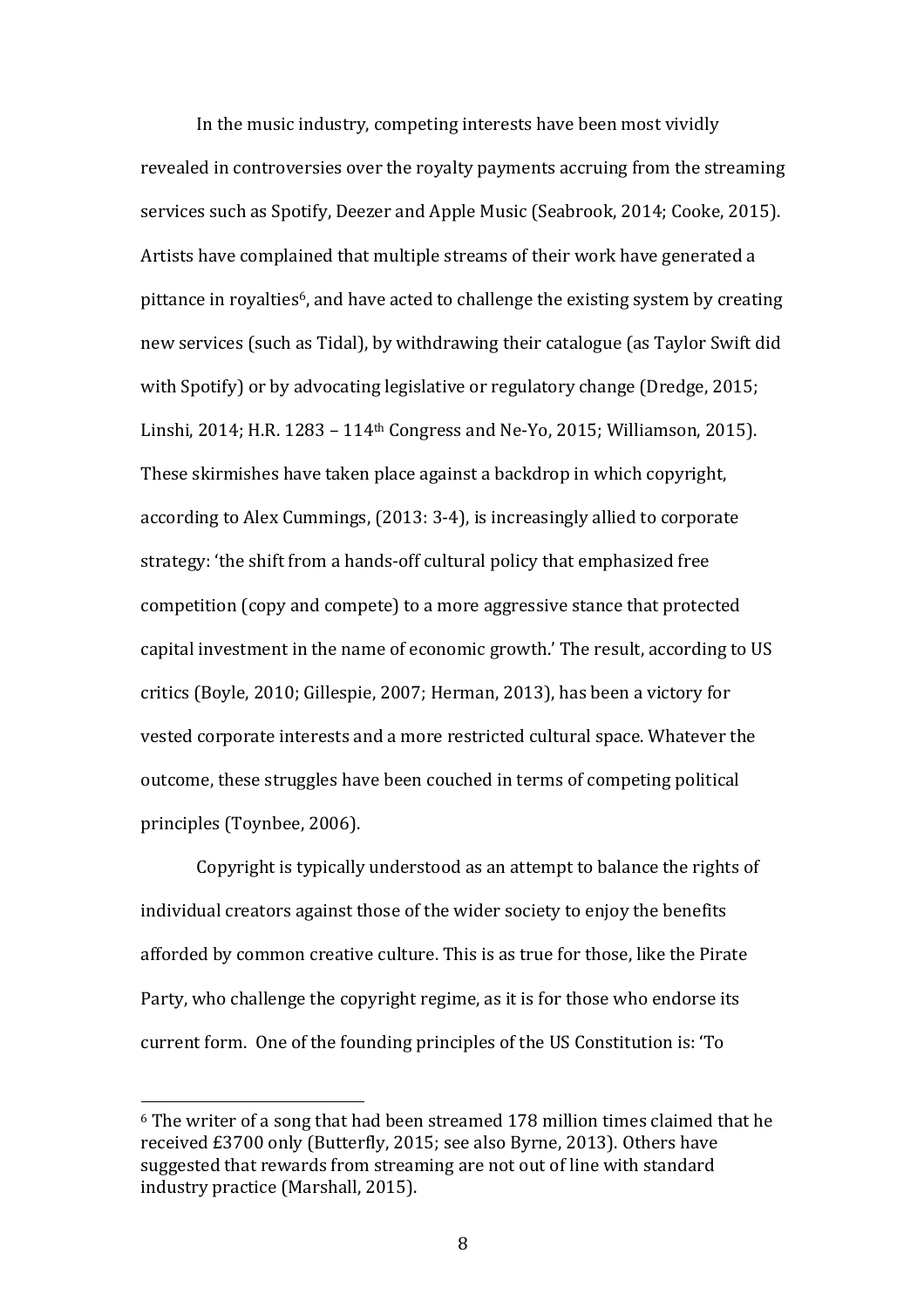In the music industry, competing interests have been most vividly revealed in controversies over the royalty payments accruing from the streaming services such as Spotify, Deezer and Apple Music (Seabrook, 2014; Cooke, 2015). Artists have complained that multiple streams of their work have generated a pittance in royalties<sup>6</sup>, and have acted to challenge the existing system by creating new services (such as Tidal), by withdrawing their catalogue (as Taylor Swift did with Spotify) or by advocating legislative or regulatory change (Dredge, 2015; Linshi, 2014; H.R.  $1283 - 114$ <sup>th</sup> Congress and Ne-Yo, 2015; Williamson, 2015). These skirmishes have taken place against a backdrop in which copyright, according to Alex Cummings, (2013: 3-4), is increasingly allied to corporate strategy: 'the shift from a hands-off cultural policy that emphasized free competition (copy and compete) to a more aggressive stance that protected capital investment in the name of economic growth.' The result, according to US critics (Boyle, 2010; Gillespie, 2007; Herman, 2013), has been a victory for vested corporate interests and a more restricted cultural space. Whatever the outcome, these struggles have been couched in terms of competing political principles (Toynbee, 2006).

Copyright is typically understood as an attempt to balance the rights of individual creators against those of the wider society to enjoy the benefits afforded by common creative culture. This is as true for those, like the Pirate Party, who challenge the copyright regime, as it is for those who endorse its current form. One of the founding principles of the US Constitution is: 'To

 $6$  The writer of a song that had been streamed 178 million times claimed that he received £3700 only (Butterfly, 2015; see also Byrne, 2013). Others have suggested that rewards from streaming are not out of line with standard industry practice (Marshall, 2015).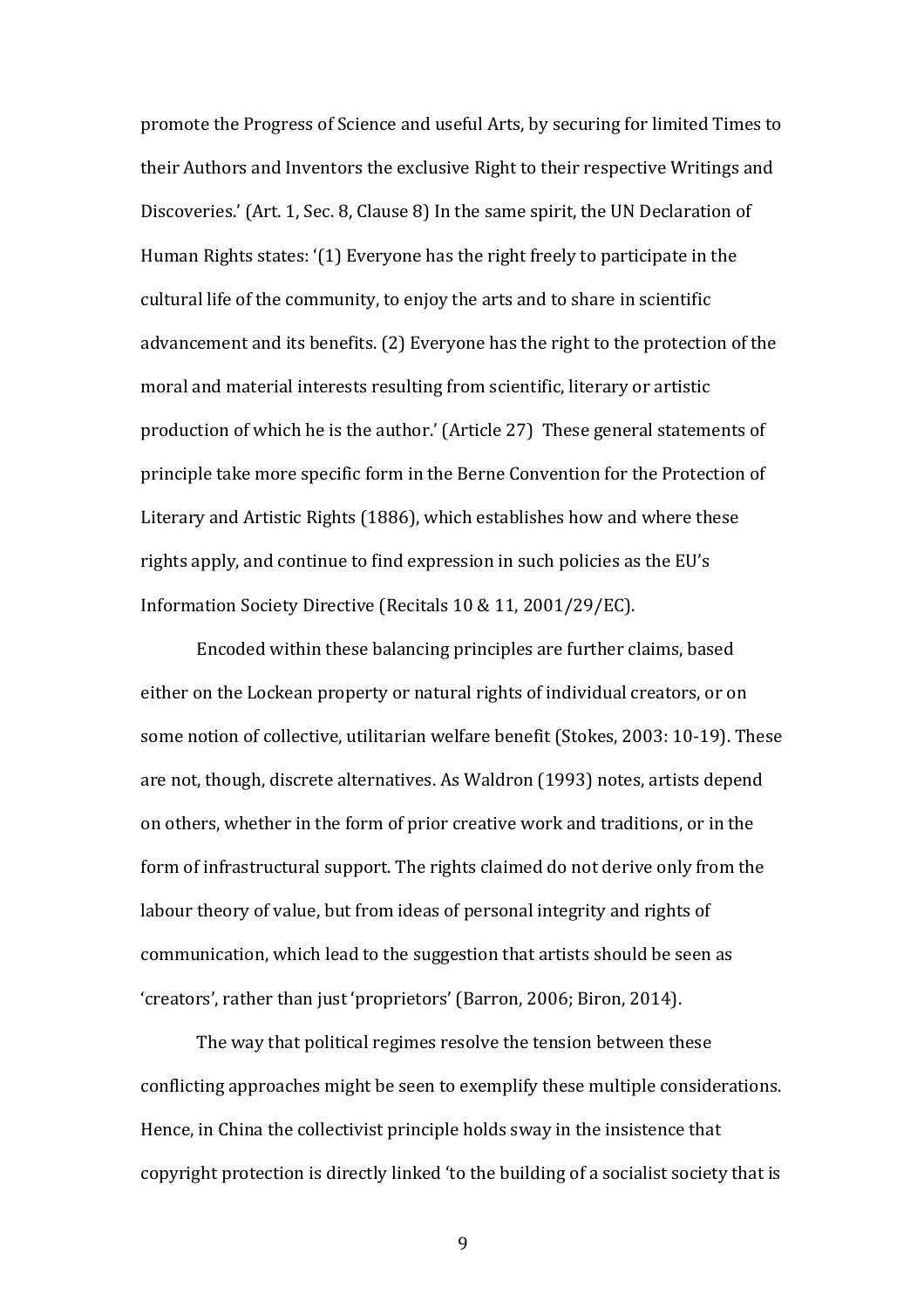promote the Progress of Science and useful Arts, by securing for limited Times to their Authors and Inventors the exclusive Right to their respective Writings and Discoveries.' (Art. 1, Sec. 8, Clause 8) In the same spirit, the UN Declaration of Human Rights states: '(1) Everyone has the right freely to participate in the cultural life of the community, to enjoy the arts and to share in scientific advancement and its benefits. (2) Everyone has the right to the protection of the moral and material interests resulting from scientific, literary or artistic production of which he is the author.' (Article 27) These general statements of principle take more specific form in the Berne Convention for the Protection of Literary and Artistic Rights (1886), which establishes how and where these rights apply, and continue to find expression in such policies as the EU's Information Society Directive (Recitals 10 & 11, 2001/29/EC).

Encoded within these balancing principles are further claims, based either on the Lockean property or natural rights of individual creators, or on some notion of collective, utilitarian welfare benefit (Stokes, 2003: 10-19). These are not, though, discrete alternatives. As Waldron (1993) notes, artists depend on others, whether in the form of prior creative work and traditions, or in the form of infrastructural support. The rights claimed do not derive only from the labour theory of value, but from ideas of personal integrity and rights of communication, which lead to the suggestion that artists should be seen as 'creators', rather than just 'proprietors' (Barron, 2006; Biron, 2014).

The way that political regimes resolve the tension between these conflicting approaches might be seen to exemplify these multiple considerations. Hence, in China the collectivist principle holds sway in the insistence that copyright protection is directly linked 'to the building of a socialist society that is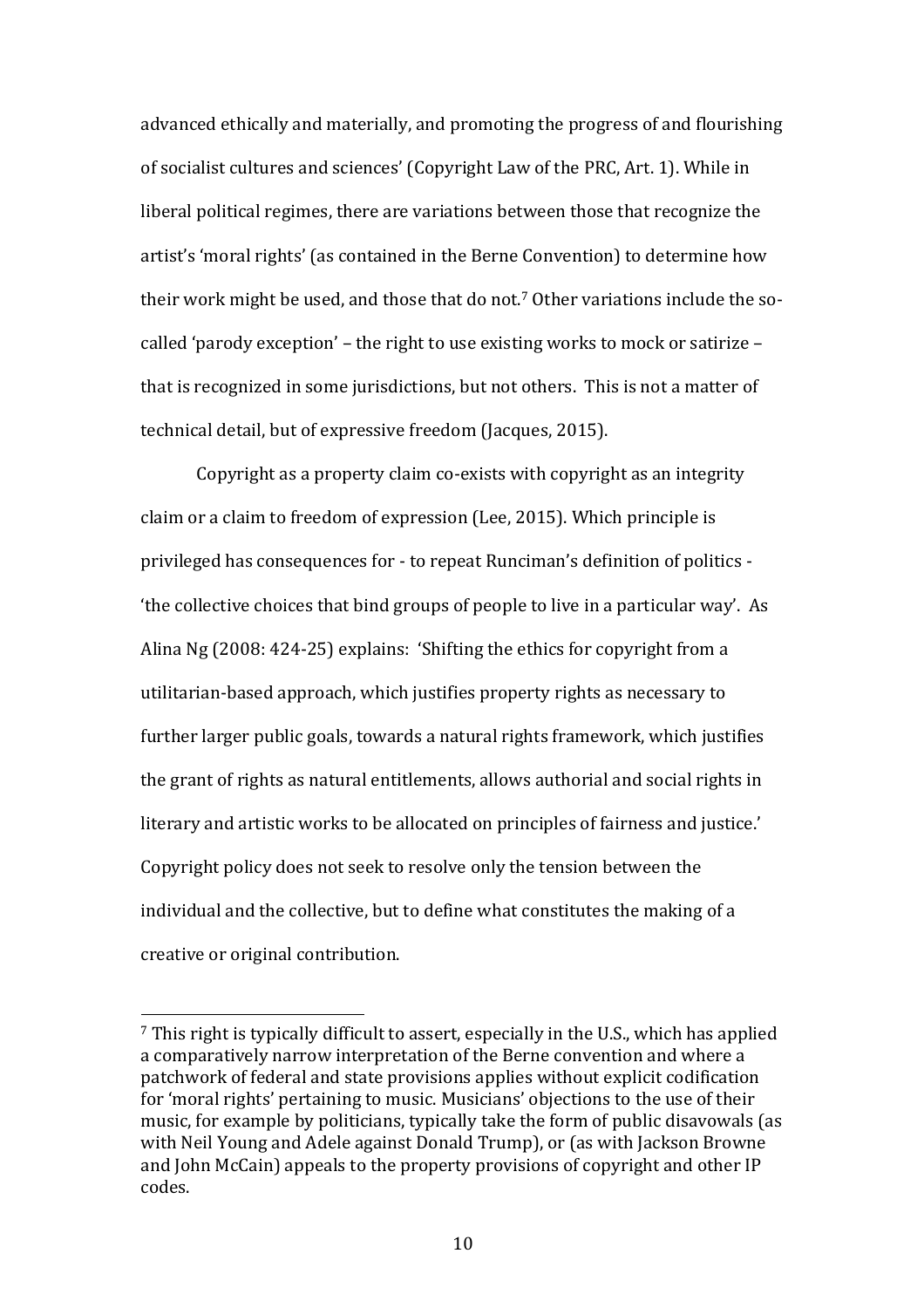advanced ethically and materially, and promoting the progress of and flourishing of socialist cultures and sciences' (Copyright Law of the PRC, Art. 1). While in liberal political regimes, there are variations between those that recognize the artist's 'moral rights' (as contained in the Berne Convention) to determine how their work might be used, and those that do not.<sup>7</sup> Other variations include the socalled 'parody exception' – the right to use existing works to mock or satirize – that is recognized in some jurisdictions, but not others. This is not a matter of technical detail, but of expressive freedom (Jacques, 2015).

Copyright as a property claim co-exists with copyright as an integrity claim or a claim to freedom of expression (Lee, 2015). Which principle is privileged has consequences for - to repeat Runciman's definition of politics the collective choices that bind groups of people to live in a particular way'. As Alina  $Ng$  (2008: 424-25) explains: 'Shifting the ethics for copyright from a utilitarian-based approach, which justifies property rights as necessary to further larger public goals, towards a natural rights framework, which justifies the grant of rights as natural entitlements, allows authorial and social rights in literary and artistic works to be allocated on principles of fairness and justice.' Copyright policy does not seek to resolve only the tension between the individual and the collective, but to define what constitutes the making of a creative or original contribution.

 $7$  This right is typically difficult to assert, especially in the U.S., which has applied a comparatively narrow interpretation of the Berne convention and where a patchwork of federal and state provisions applies without explicit codification for 'moral rights' pertaining to music. Musicians' objections to the use of their music, for example by politicians, typically take the form of public disavowals (as with Neil Young and Adele against Donald Trump), or (as with Jackson Browne and John McCain) appeals to the property provisions of copyright and other IP codes.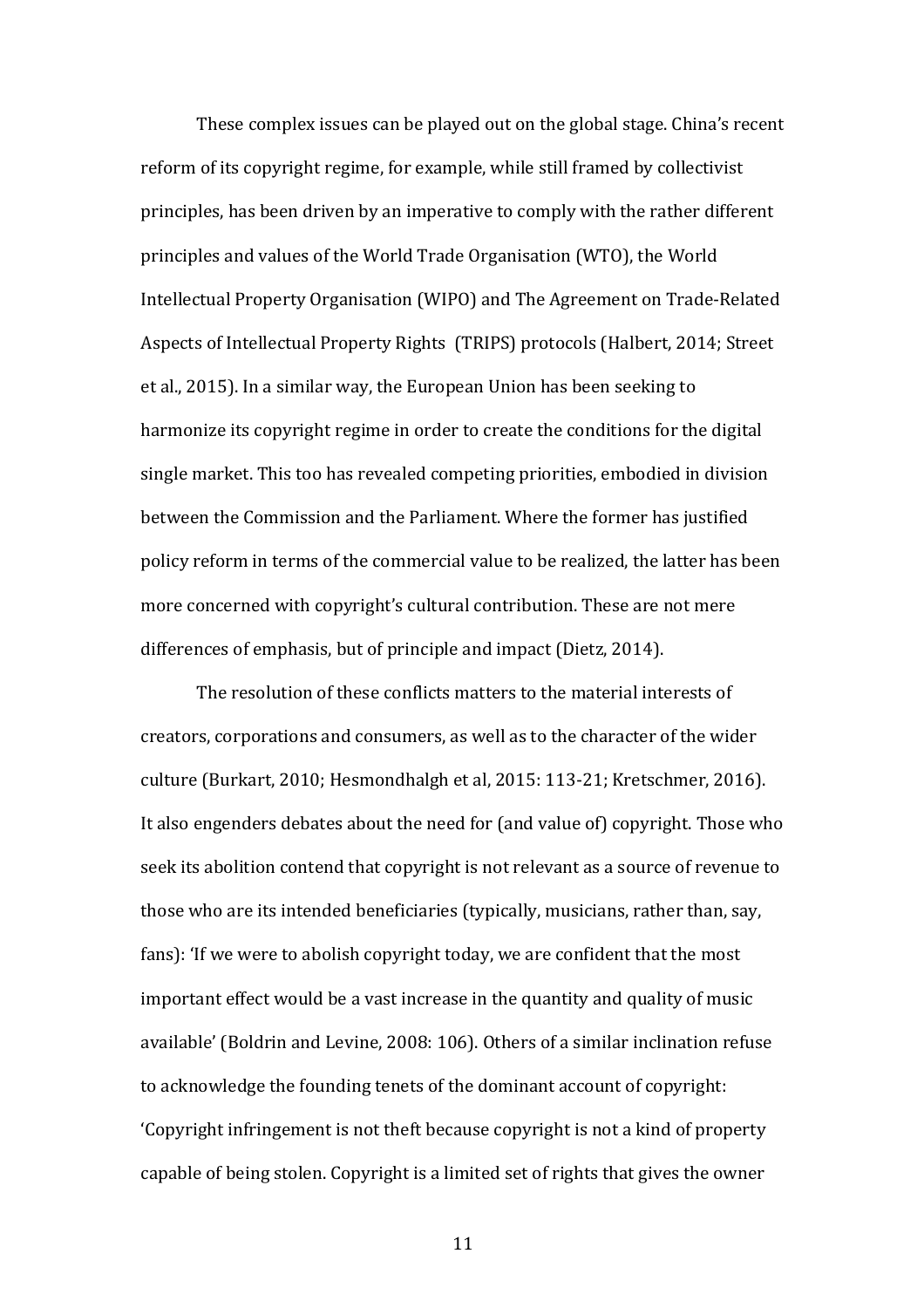These complex issues can be played out on the global stage. China's recent reform of its copyright regime, for example, while still framed by collectivist principles, has been driven by an imperative to comply with the rather different principles and values of the World Trade Organisation (WTO), the World Intellectual Property Organisation (WIPO) and The Agreement on Trade-Related Aspects of Intellectual Property Rights (TRIPS) protocols (Halbert, 2014; Street et al., 2015). In a similar way, the European Union has been seeking to harmonize its copyright regime in order to create the conditions for the digital single market. This too has revealed competing priorities, embodied in division between the Commission and the Parliament. Where the former has justified policy reform in terms of the commercial value to be realized, the latter has been more concerned with copyright's cultural contribution. These are not mere differences of emphasis, but of principle and impact (Dietz, 2014).

The resolution of these conflicts matters to the material interests of creators, corporations and consumers, as well as to the character of the wider culture (Burkart, 2010; Hesmondhalgh et al, 2015: 113-21; Kretschmer, 2016). It also engenders debates about the need for (and value of) copyright. Those who seek its abolition contend that copyright is not relevant as a source of revenue to those who are its intended beneficiaries (typically, musicians, rather than, say, fans): 'If we were to abolish copyright today, we are confident that the most important effect would be a vast increase in the quantity and quality of music available' (Boldrin and Levine, 2008: 106). Others of a similar inclination refuse to acknowledge the founding tenets of the dominant account of copyright: 'Copyright infringement is not theft because copyright is not a kind of property capable of being stolen. Copyright is a limited set of rights that gives the owner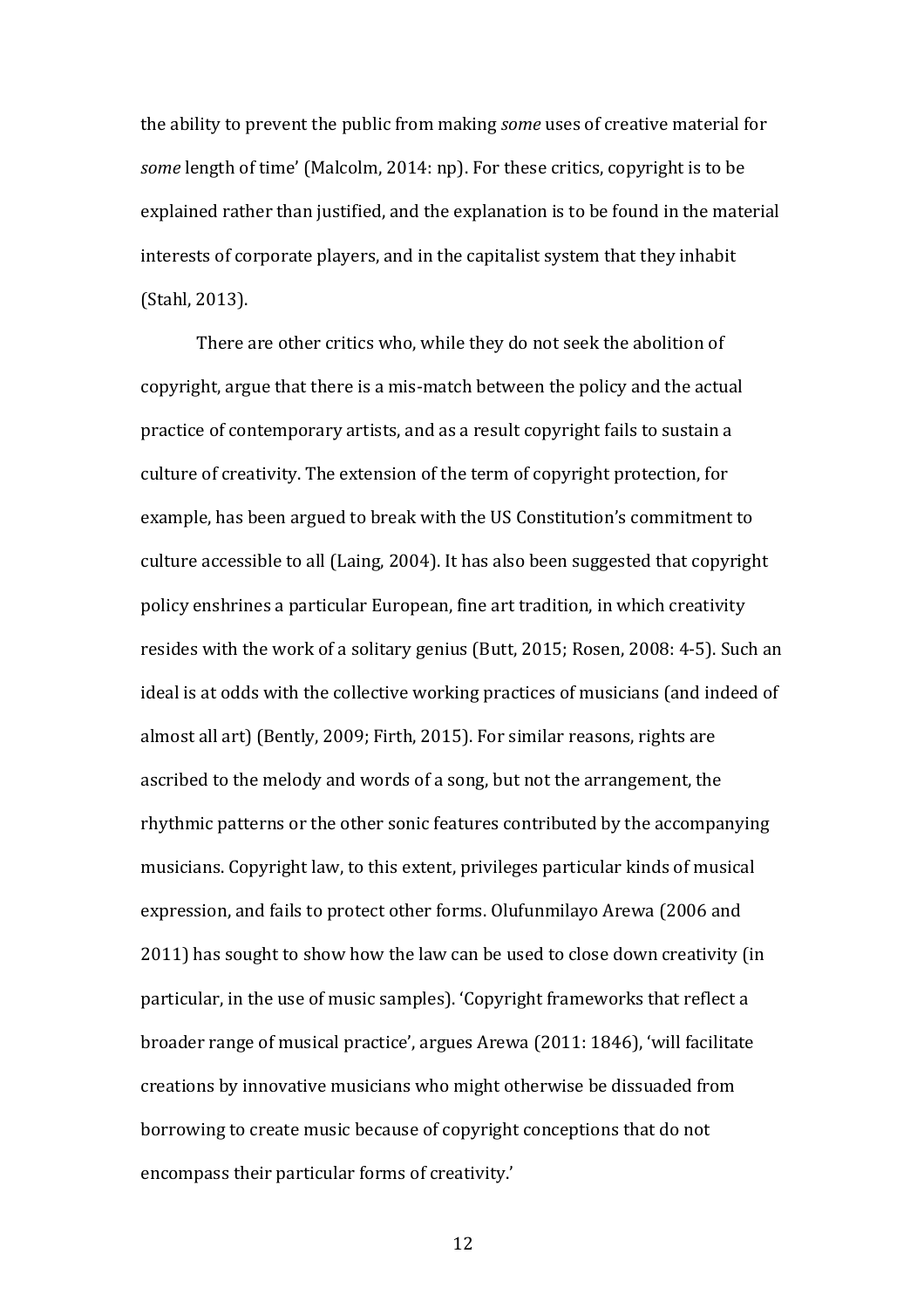the ability to prevent the public from making *some* uses of creative material for *some* length of time' (Malcolm, 2014: np). For these critics, copyright is to be explained rather than justified, and the explanation is to be found in the material interests of corporate players, and in the capitalist system that they inhabit (Stahl, 2013).

There are other critics who, while they do not seek the abolition of copyright, argue that there is a mis-match between the policy and the actual practice of contemporary artists, and as a result copyright fails to sustain a culture of creativity. The extension of the term of copyright protection, for example, has been argued to break with the US Constitution's commitment to culture accessible to all (Laing, 2004). It has also been suggested that copyright policy enshrines a particular European, fine art tradition, in which creativity resides with the work of a solitary genius (Butt, 2015; Rosen, 2008: 4-5). Such an ideal is at odds with the collective working practices of musicians (and indeed of almost all art) (Bently, 2009; Firth, 2015). For similar reasons, rights are ascribed to the melody and words of a song, but not the arrangement, the rhythmic patterns or the other sonic features contributed by the accompanying musicians. Copyright law, to this extent, privileges particular kinds of musical expression, and fails to protect other forms. Olufunmilayo Arewa (2006 and 2011) has sought to show how the law can be used to close down creativity (in particular, in the use of music samples). 'Copyright frameworks that reflect a broader range of musical practice', argues Arewa (2011: 1846), 'will facilitate creations by innovative musicians who might otherwise be dissuaded from borrowing to create music because of copyright conceptions that do not encompass their particular forms of creativity.'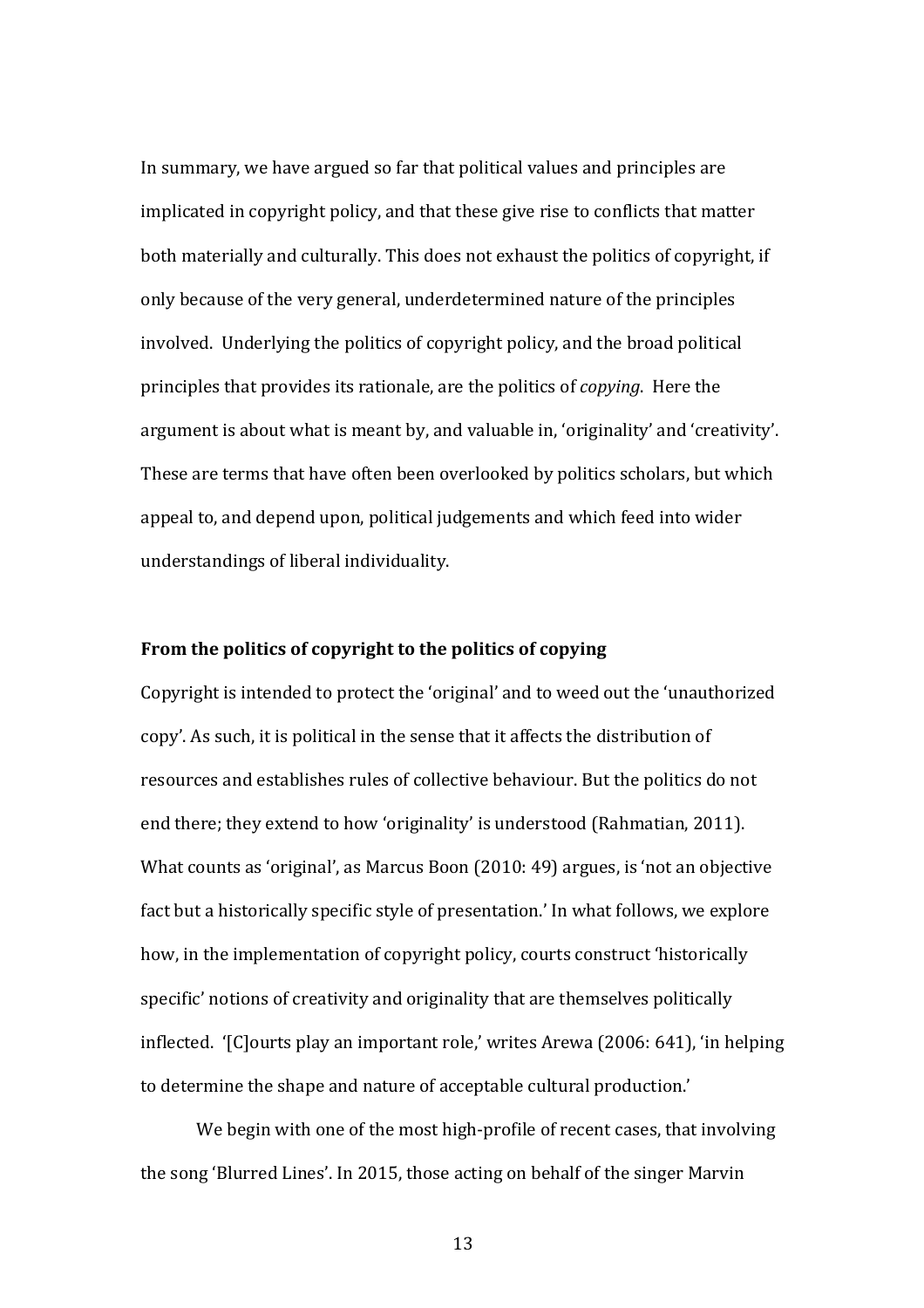In summary, we have argued so far that political values and principles are implicated in copyright policy, and that these give rise to conflicts that matter both materially and culturally. This does not exhaust the politics of copyright, if only because of the very general, underdetermined nature of the principles involved. Underlying the politics of copyright policy, and the broad political principles that provides its rationale, are the politics of *copying*. Here the argument is about what is meant by, and valuable in, 'originality' and 'creativity'. These are terms that have often been overlooked by politics scholars, but which appeal to, and depend upon, political judgements and which feed into wider understandings of liberal individuality.

### From the politics of copyright to the politics of copying

Copyright is intended to protect the 'original' and to weed out the 'unauthorized copy'. As such, it is political in the sense that it affects the distribution of resources and establishes rules of collective behaviour. But the politics do not end there; they extend to how 'originality' is understood (Rahmatian, 2011). What counts as 'original', as Marcus Boon  $(2010: 49)$  argues, is 'not an objective fact but a historically specific style of presentation.' In what follows, we explore how, in the implementation of copyright policy, courts construct 'historically specific' notions of creativity and originality that are themselves politically inflected. '[C]ourts play an important role,' writes Arewa (2006: 641), 'in helping to determine the shape and nature of acceptable cultural production.'

We begin with one of the most high-profile of recent cases, that involving the song 'Blurred Lines'. In 2015, those acting on behalf of the singer Marvin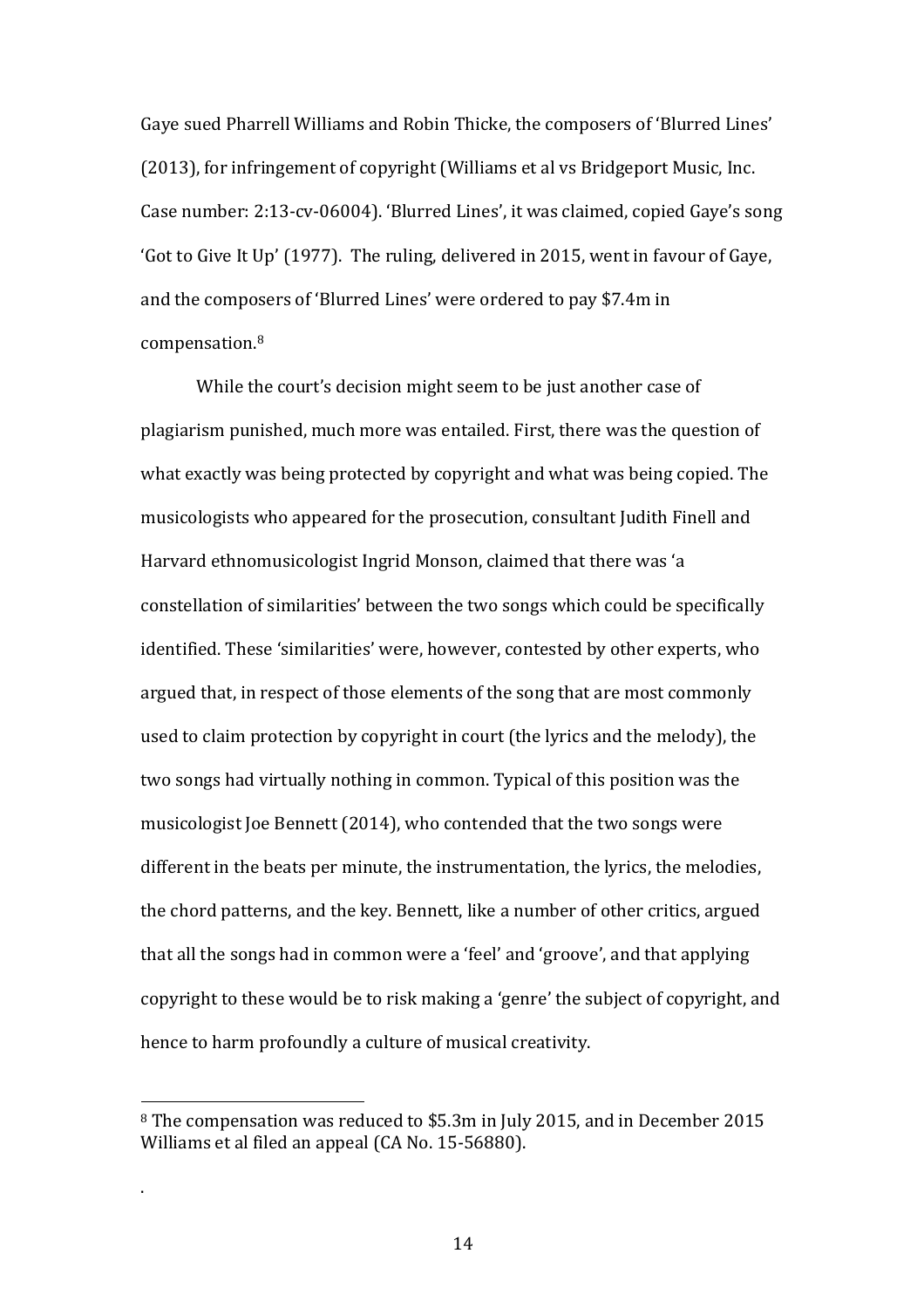Gaye sued Pharrell Williams and Robin Thicke, the composers of 'Blurred Lines' (2013), for infringement of copyright (Williams et al vs Bridgeport Music, Inc. Case number: 2:13-cv-06004). 'Blurred Lines', it was claimed, copied Gaye's song 'Got to Give It Up' (1977). The ruling, delivered in 2015, went in favour of Gaye, and the composers of 'Blurred Lines' were ordered to pay \$7.4m in compensation.8

While the court's decision might seem to be just another case of plagiarism punished, much more was entailed. First, there was the question of what exactly was being protected by copyright and what was being copied. The musicologists who appeared for the prosecution, consultant Judith Finell and Harvard ethnomusicologist Ingrid Monson, claimed that there was 'a constellation of similarities' between the two songs which could be specifically identified. These 'similarities' were, however, contested by other experts, who argued that, in respect of those elements of the song that are most commonly used to claim protection by copyright in court (the lyrics and the melody), the two songs had virtually nothing in common. Typical of this position was the musicologist Joe Bennett (2014), who contended that the two songs were different in the beats per minute, the instrumentation, the lyrics, the melodies, the chord patterns, and the key. Bennett, like a number of other critics, argued that all the songs had in common were a 'feel' and 'groove', and that applying copyright to these would be to risk making a 'genre' the subject of copyright, and hence to harm profoundly a culture of musical creativity.

 

.

<sup>&</sup>lt;sup>8</sup> The compensation was reduced to \$5.3m in July 2015, and in December 2015 Williams et al filed an appeal (CA No. 15-56880).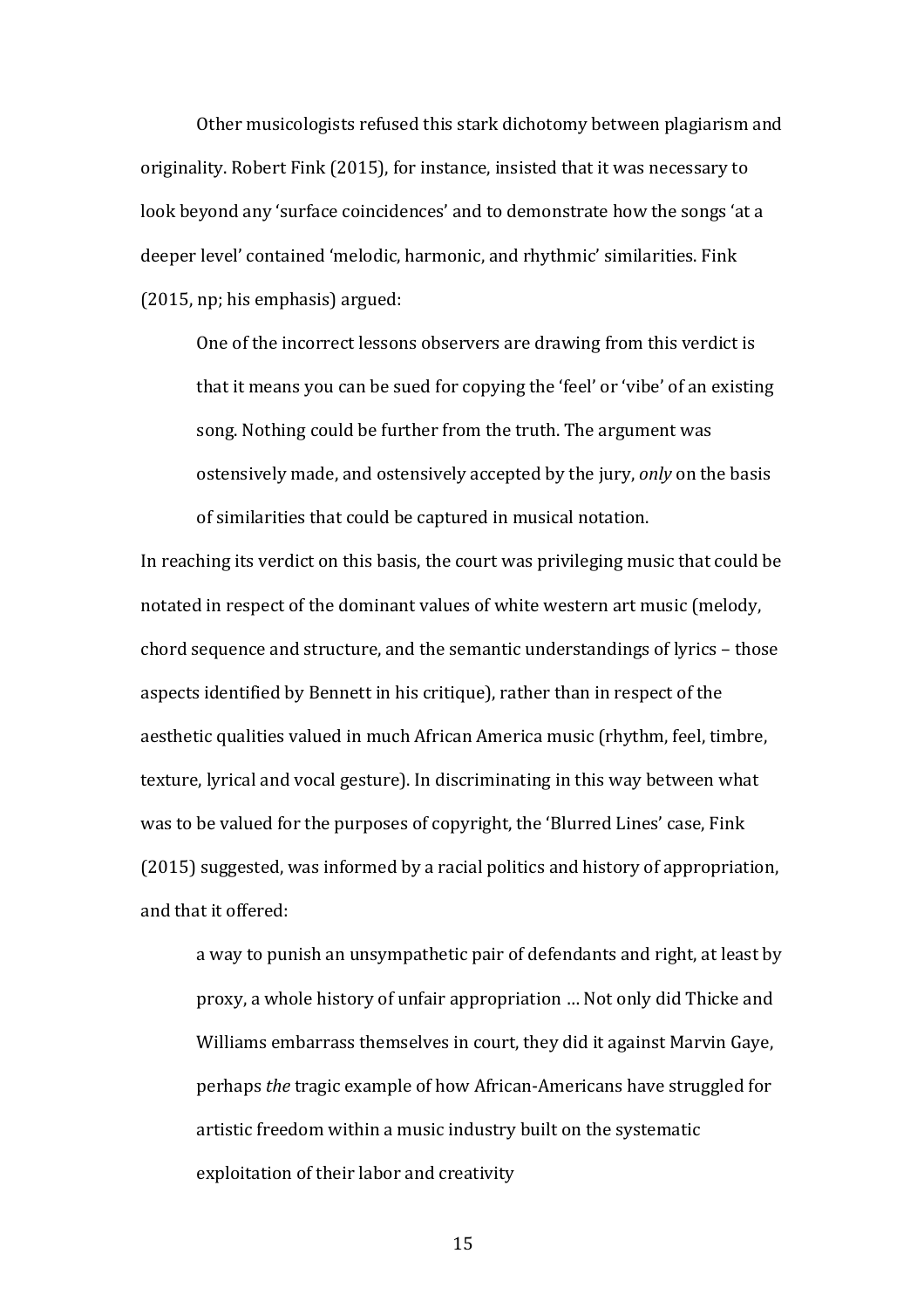Other musicologists refused this stark dichotomy between plagiarism and originality. Robert Fink (2015), for instance, insisted that it was necessary to look beyond any 'surface coincidences' and to demonstrate how the songs 'at a deeper level' contained 'melodic, harmonic, and rhythmic' similarities. Fink  $(2015, np; his emphasis) argued:$ 

One of the incorrect lessons observers are drawing from this verdict is that it means you can be sued for copying the 'feel' or 'vibe' of an existing song. Nothing could be further from the truth. The argument was ostensively made, and ostensively accepted by the jury, *only* on the basis of similarities that could be captured in musical notation.

In reaching its verdict on this basis, the court was privileging music that could be notated in respect of the dominant values of white western art music (melody, chord sequence and structure, and the semantic understandings of lyrics – those aspects identified by Bennett in his critique), rather than in respect of the aesthetic qualities valued in much African America music (rhythm, feel, timbre, texture, lyrical and yocal gesture). In discriminating in this way between what was to be valued for the purposes of copyright, the 'Blurred Lines' case, Fink (2015) suggested, was informed by a racial politics and history of appropriation, and that it offered:

a way to punish an unsympathetic pair of defendants and right, at least by proxy, a whole history of unfair appropriation ... Not only did Thicke and Williams embarrass themselves in court, they did it against Marvin Gaye, perhaps *the* tragic example of how African-Americans have struggled for artistic freedom within a music industry built on the systematic exploitation of their labor and creativity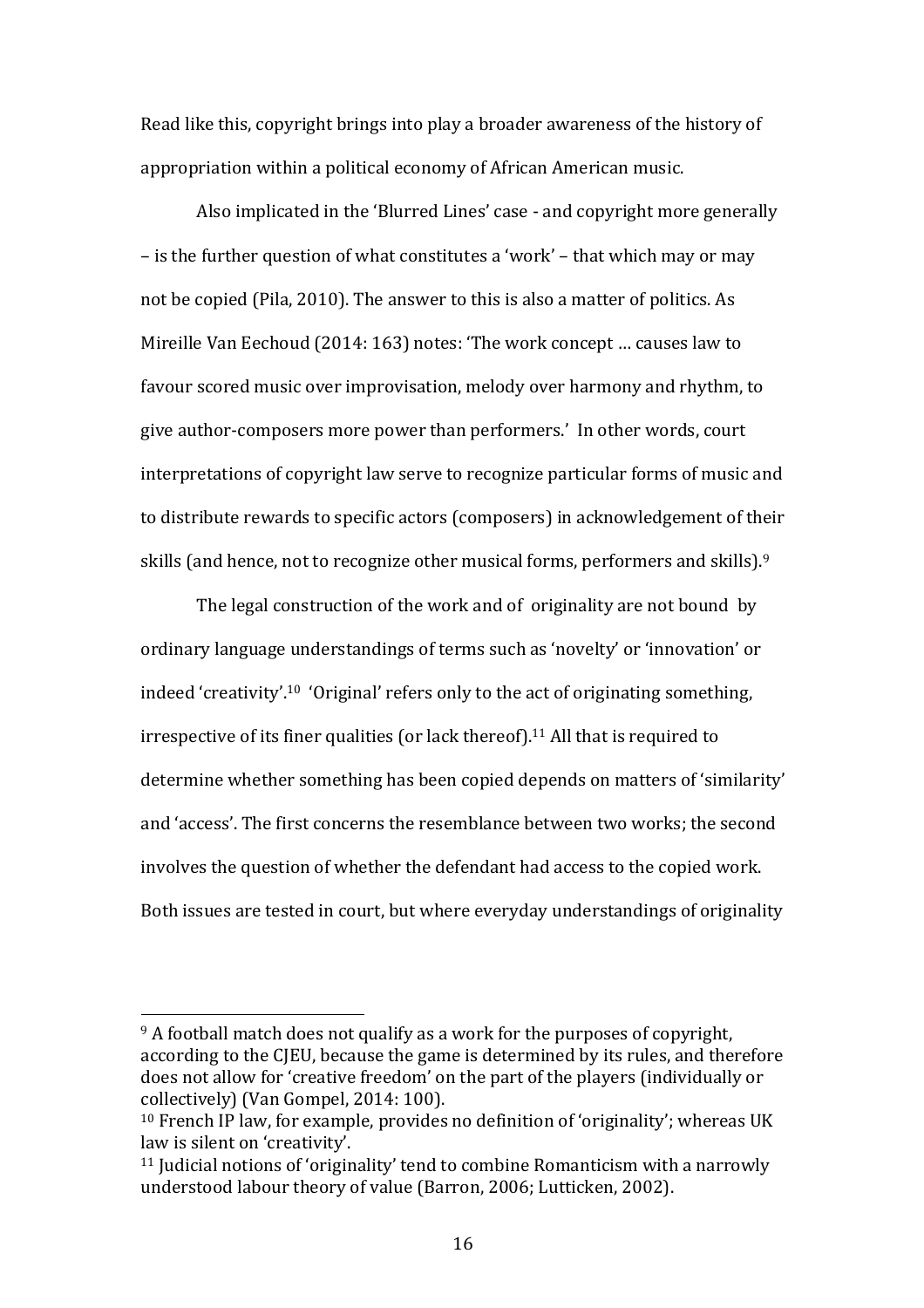Read like this, copyright brings into play a broader awareness of the history of appropriation within a political economy of African American music.

Also implicated in the 'Blurred Lines' case - and copyright more generally – is the further question of what constitutes a 'work' – that which may or may not be copied (Pila, 2010). The answer to this is also a matter of politics. As Mireille Van Eechoud (2014: 163) notes: 'The work concept ... causes law to favour scored music over improvisation, melody over harmony and rhythm, to give author-composers more power than performers.' In other words, court interpretations of copyright law serve to recognize particular forms of music and to distribute rewards to specific actors (composers) in acknowledgement of their skills (and hence, not to recognize other musical forms, performers and skills).<sup>9</sup>

The legal construction of the work and of originality are not bound by ordinary language understandings of terms such as 'novelty' or 'innovation' or indeed 'creativity'.<sup>10</sup> 'Original' refers only to the act of originating something, irrespective of its finer qualities (or lack thereof).<sup>11</sup> All that is required to determine whether something has been copied depends on matters of 'similarity' and 'access'. The first concerns the resemblance between two works; the second involves the question of whether the defendant had access to the copied work. Both issues are tested in court, but where everyday understandings of originality

 $9$  A football match does not qualify as a work for the purposes of copyright, according to the CJEU, because the game is determined by its rules, and therefore does not allow for 'creative freedom' on the part of the players (individually or collectively) (Van Gompel, 2014: 100).

 $10$  French IP law, for example, provides no definition of 'originality'; whereas UK law is silent on 'creativity'.

 $11$  Judicial notions of 'originality' tend to combine Romanticism with a narrowly understood labour theory of value (Barron, 2006; Lutticken, 2002).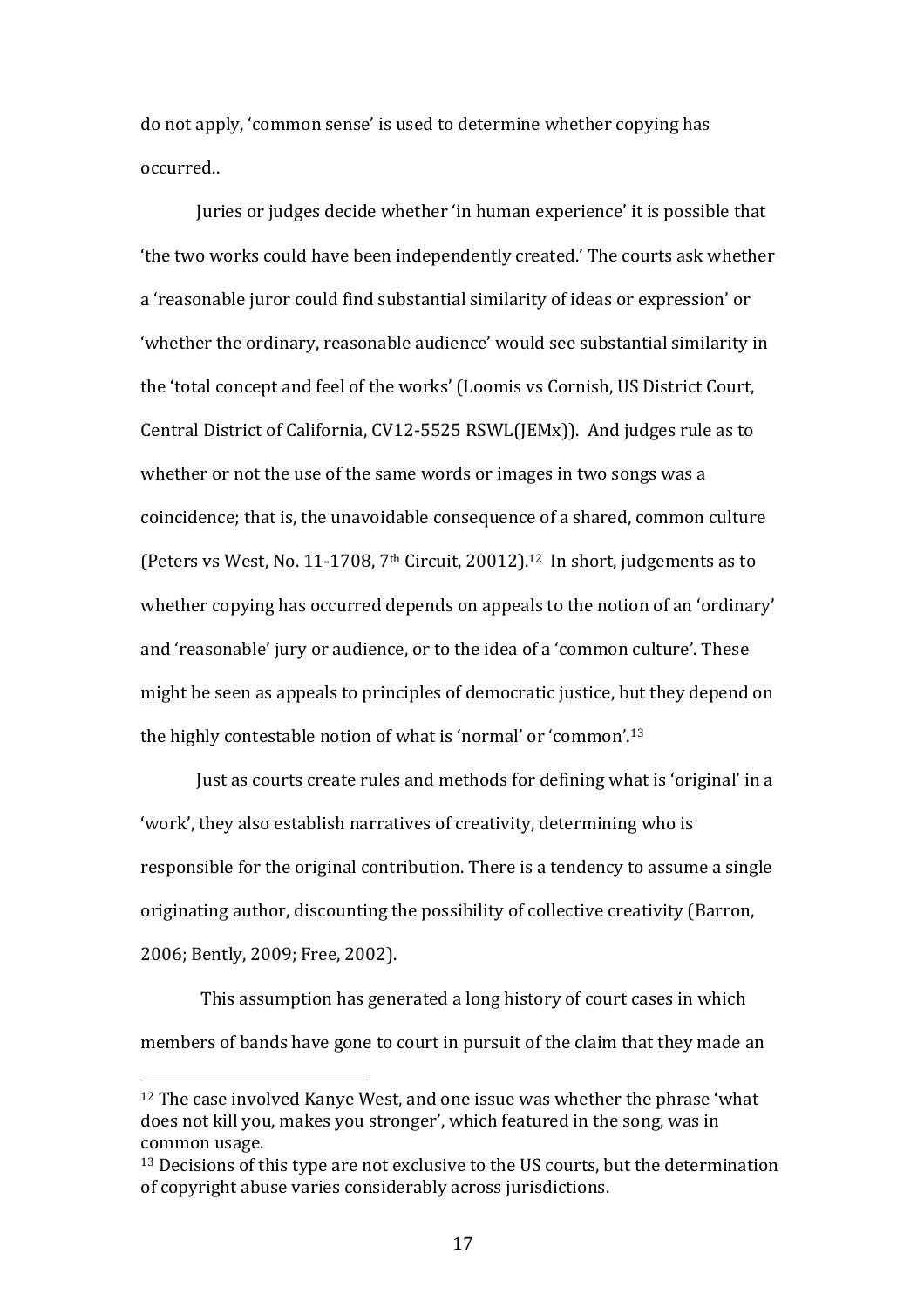do not apply, 'common sense' is used to determine whether copying has occurred.. 

Juries or judges decide whether 'in human experience' it is possible that the two works could have been independently created.' The courts ask whether a 'reasonable juror could find substantial similarity of ideas or expression' or 'whether the ordinary, reasonable audience' would see substantial similarity in the 'total concept and feel of the works' (Loomis vs Cornish, US District Court, Central District of California,  $CV12-5525$  RSWL( $|EMx|$ ). And judges rule as to whether or not the use of the same words or images in two songs was a coincidence; that is, the unavoidable consequence of a shared, common culture (Peters vs West, No. 11-1708,  $7<sup>th</sup>$  Circuit, 20012).<sup>12</sup> In short, judgements as to whether copying has occurred depends on appeals to the notion of an 'ordinary' and 'reasonable' jury or audience, or to the idea of a 'common culture'. These might be seen as appeals to principles of democratic justice, but they depend on the highly contestable notion of what is 'normal' or 'common'.<sup>13</sup>

Just as courts create rules and methods for defining what is 'original' in a 'work', they also establish narratives of creativity, determining who is responsible for the original contribution. There is a tendency to assume a single originating author, discounting the possibility of collective creativity (Barron, 2006; Bently, 2009; Free, 2002).

This assumption has generated a long history of court cases in which members of bands have gone to court in pursuit of the claim that they made an

 $12$  The case involved Kanye West, and one issue was whether the phrase 'what does not kill you, makes you stronger', which featured in the song, was in common usage.

 $13$  Decisions of this type are not exclusive to the US courts, but the determination of copyright abuse varies considerably across jurisdictions.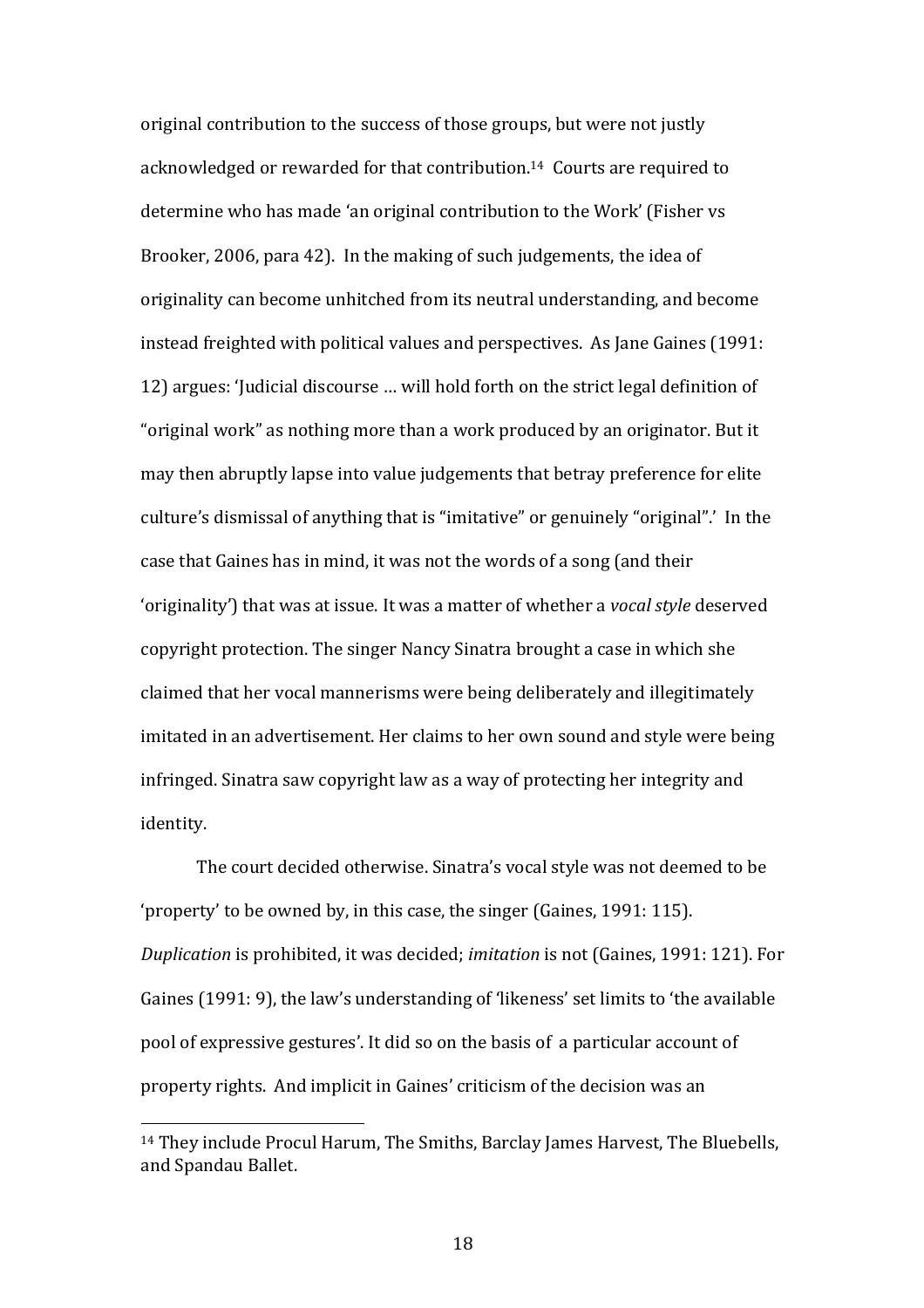original contribution to the success of those groups, but were not justly acknowledged or rewarded for that contribution.<sup>14</sup> Courts are required to determine who has made 'an original contribution to the Work' (Fisher vs Brooker, 2006, para 42). In the making of such judgements, the idea of originality can become unhitched from its neutral understanding, and become instead freighted with political values and perspectives. As Jane Gaines (1991: 12) argues: 'Judicial discourse ... will hold forth on the strict legal definition of "original work" as nothing more than a work produced by an originator. But it may then abruptly lapse into value judgements that betray preference for elite culture's dismissal of anything that is "imitative" or genuinely "original".' In the case that Gaines has in mind, it was not the words of a song (and their 'originality') that was at issue. It was a matter of whether a *vocal style* deserved copyright protection. The singer Nancy Sinatra brought a case in which she claimed that her vocal mannerisms were being deliberately and illegitimately imitated in an advertisement. Her claims to her own sound and style were being infringed. Sinatra saw copyright law as a way of protecting her integrity and identity. 

The court decided otherwise. Sinatra's vocal style was not deemed to be 'property' to be owned by, in this case, the singer (Gaines, 1991: 115). *Duplication* is prohibited, it was decided; *imitation* is not (Gaines, 1991: 121). For Gaines (1991: 9), the law's understanding of 'likeness' set limits to 'the available pool of expressive gestures'. It did so on the basis of a particular account of property rights. And implicit in Gaines' criticism of the decision was an

<sup>&</sup>lt;sup>14</sup> They include Procul Harum, The Smiths, Barclay James Harvest, The Bluebells, and Spandau Ballet.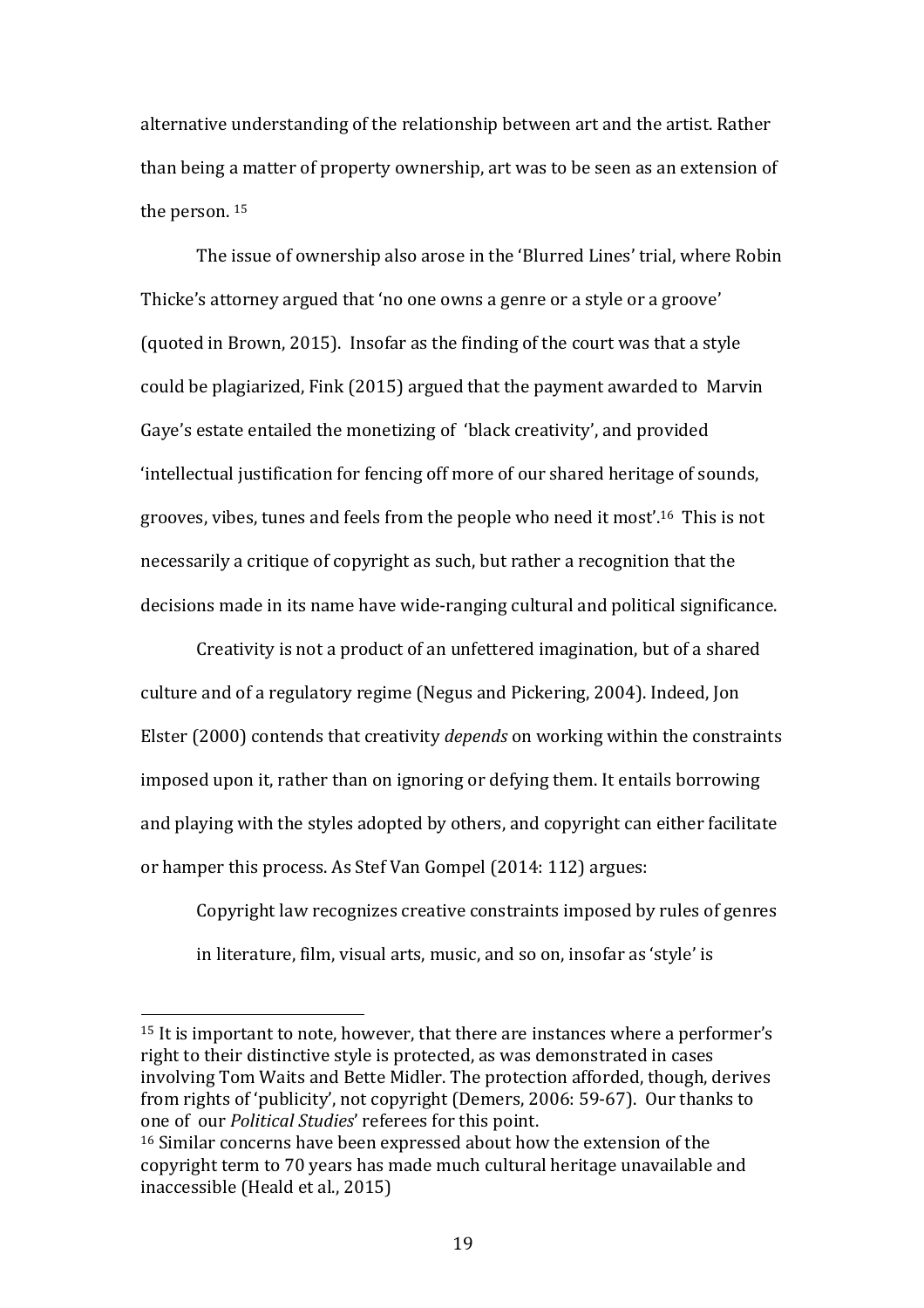alternative understanding of the relationship between art and the artist. Rather than being a matter of property ownership, art was to be seen as an extension of the person.  $15$ 

The issue of ownership also arose in the 'Blurred Lines' trial, where Robin Thicke's attorney argued that 'no one owns a genre or a style or a groove' (quoted in Brown, 2015). Insofar as the finding of the court was that a style could be plagiarized, Fink (2015) argued that the payment awarded to Marvin Gaye's estate entailed the monetizing of 'black creativity', and provided 'intellectual justification for fencing off more of our shared heritage of sounds, grooves, vibes, tunes and feels from the people who need it most'.<sup>16</sup> This is not necessarily a critique of copyright as such, but rather a recognition that the decisions made in its name have wide-ranging cultural and political significance.

Creativity is not a product of an unfettered imagination, but of a shared culture and of a regulatory regime (Negus and Pickering, 2004). Indeed, Jon Elster (2000) contends that creativity *depends* on working within the constraints imposed upon it, rather than on ignoring or defying them. It entails borrowing and playing with the styles adopted by others, and copyright can either facilitate or hamper this process. As Stef Van Gompel (2014: 112) argues:

Copyright law recognizes creative constraints imposed by rules of genres in literature, film, visual arts, music, and so on, insofar as 'style' is

<sup>&</sup>lt;sup>15</sup> It is important to note, however, that there are instances where a performer's right to their distinctive style is protected, as was demonstrated in cases involving Tom Waits and Bette Midler. The protection afforded, though, derives from rights of 'publicity', not copyright (Demers, 2006: 59-67). Our thanks to one of our *Political Studies'* referees for this point.

 $16$  Similar concerns have been expressed about how the extension of the copyright term to 70 years has made much cultural heritage unavailable and inaccessible (Heald et al., 2015)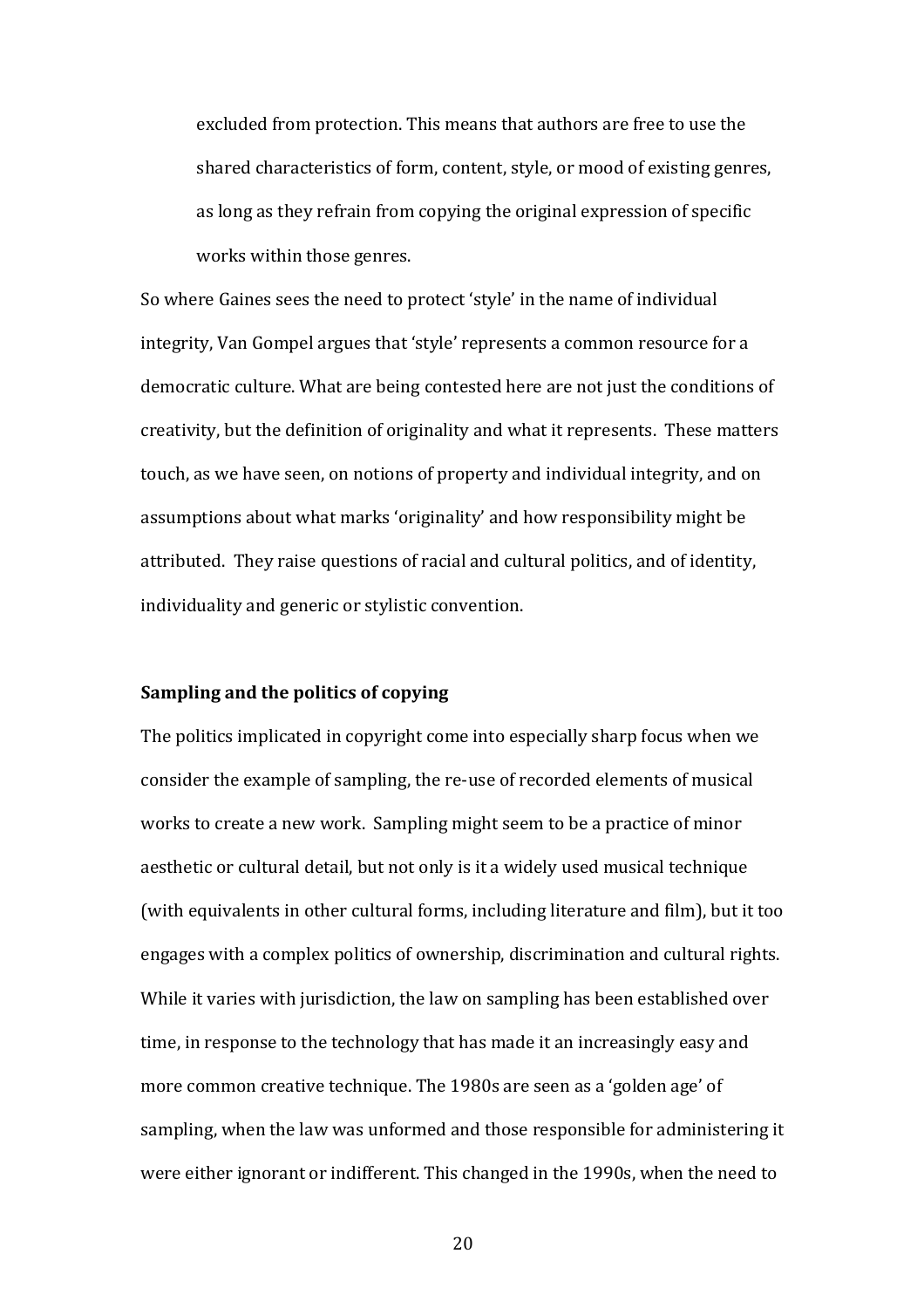excluded from protection. This means that authors are free to use the shared characteristics of form, content, style, or mood of existing genres, as long as they refrain from copying the original expression of specific works within those genres.

So where Gaines sees the need to protect 'style' in the name of individual integrity, Van Gompel argues that 'style' represents a common resource for a democratic culture. What are being contested here are not just the conditions of creativity, but the definition of originality and what it represents. These matters touch, as we have seen, on notions of property and individual integrity, and on assumptions about what marks 'originality' and how responsibility might be attributed. They raise questions of racial and cultural politics, and of identity, individuality and generic or stylistic convention.

### **Sampling and the politics of copying**

The politics implicated in copyright come into especially sharp focus when we consider the example of sampling, the re-use of recorded elements of musical works to create a new work. Sampling might seem to be a practice of minor aesthetic or cultural detail, but not only is it a widely used musical technique (with equivalents in other cultural forms, including literature and film), but it too engages with a complex politics of ownership, discrimination and cultural rights. While it varies with jurisdiction, the law on sampling has been established over time, in response to the technology that has made it an increasingly easy and more common creative technique. The 1980s are seen as a 'golden age' of sampling, when the law was unformed and those responsible for administering it were either ignorant or indifferent. This changed in the 1990s, when the need to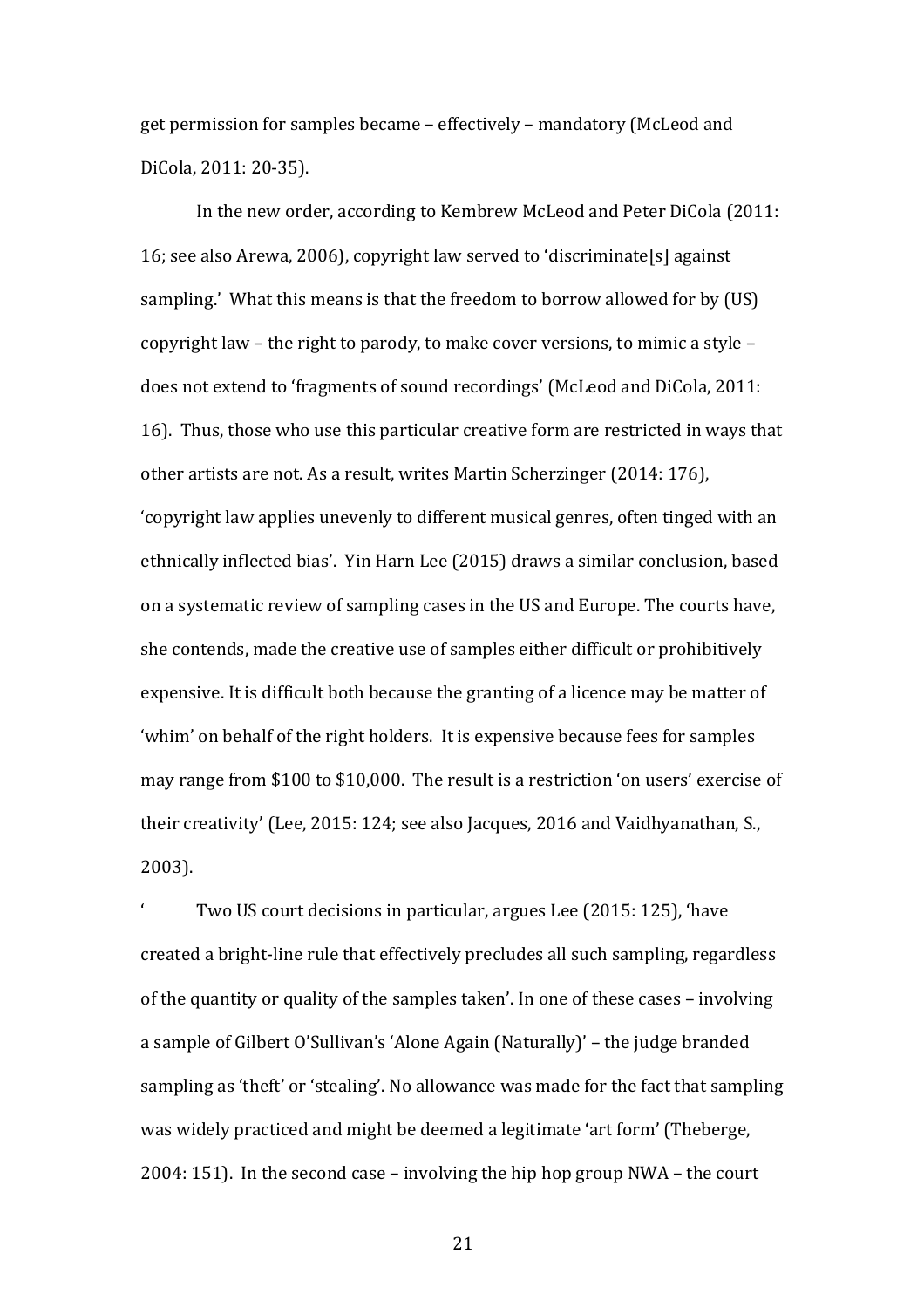get permission for samples became – effectively – mandatory (McLeod and DiCola, 2011: 20-35).

In the new order, according to Kembrew McLeod and Peter DiCola (2011: 16; see also Arewa, 2006), copyright law served to 'discriminate[s] against sampling.' What this means is that the freedom to borrow allowed for by (US) copyright law – the right to parody, to make cover versions, to mimic a style – does not extend to 'fragments of sound recordings' (McLeod and DiCola, 2011: 16). Thus, those who use this particular creative form are restricted in ways that other artists are not. As a result, writes Martin Scherzinger (2014: 176), 'copyright law applies unevenly to different musical genres, often tinged with an ethnically inflected bias'. Yin Harn Lee (2015) draws a similar conclusion, based on a systematic review of sampling cases in the US and Europe. The courts have, she contends, made the creative use of samples either difficult or prohibitively expensive. It is difficult both because the granting of a licence may be matter of 'whim' on behalf of the right holders. It is expensive because fees for samples may range from \$100 to \$10,000. The result is a restriction 'on users' exercise of their creativity' (Lee, 2015: 124; see also Jacques, 2016 and Vaidhyanathan, S., 2003).

Two US court decisions in particular, argues Lee (2015: 125), 'have created a bright-line rule that effectively precludes all such sampling, regardless of the quantity or quality of the samples taken'. In one of these cases – involving a sample of Gilbert O'Sullivan's 'Alone Again (Naturally)' - the judge branded sampling as 'theft' or 'stealing'. No allowance was made for the fact that sampling was widely practiced and might be deemed a legitimate 'art form' (Theberge, 2004: 151). In the second case – involving the hip hop group  $NWA$  – the court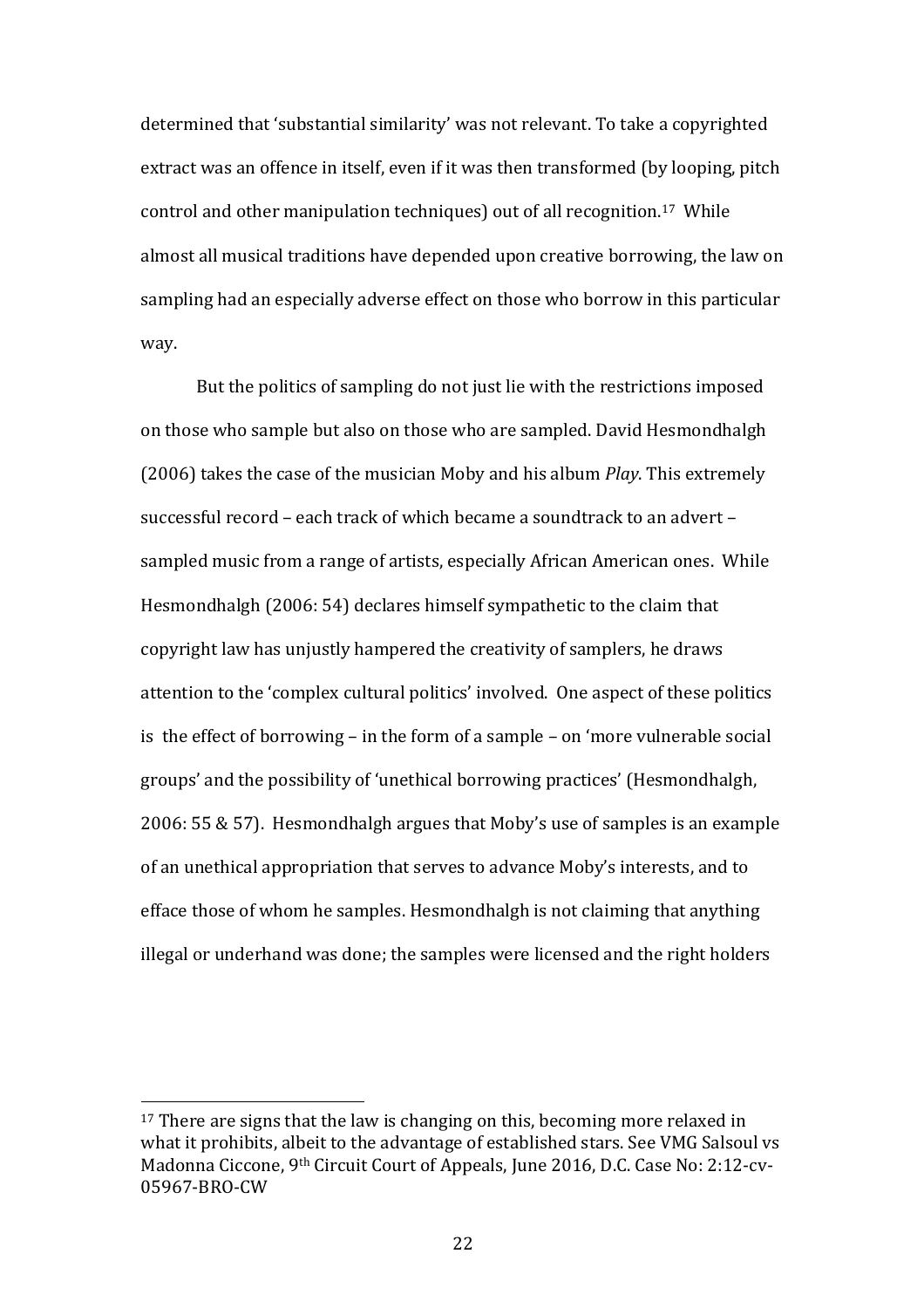determined that 'substantial similarity' was not relevant. To take a copyrighted extract was an offence in itself, even if it was then transformed (by looping, pitch control and other manipulation techniques) out of all recognition.<sup>17</sup> While almost all musical traditions have depended upon creative borrowing, the law on sampling had an especially adverse effect on those who borrow in this particular way. 

But the politics of sampling do not just lie with the restrictions imposed on those who sample but also on those who are sampled. David Hesmondhalgh (2006) takes the case of the musician Moby and his album *Play*. This extremely successful record – each track of which became a soundtrack to an advert – sampled music from a range of artists, especially African American ones. While Hesmondhalgh (2006: 54) declares himself sympathetic to the claim that copyright law has unjustly hampered the creativity of samplers, he draws attention to the 'complex cultural politics' involved. One aspect of these politics is the effect of borrowing – in the form of a sample – on 'more vulnerable social groups' and the possibility of 'unethical borrowing practices' (Hesmondhalgh,  $2006: 55 \& 57$ . Hesmondhalgh argues that Moby's use of samples is an example of an unethical appropriation that serves to advance Moby's interests, and to efface those of whom he samples. Hesmondhalgh is not claiming that anything illegal or underhand was done; the samples were licensed and the right holders

 $17$  There are signs that the law is changing on this, becoming more relaxed in what it prohibits, albeit to the advantage of established stars. See VMG Salsoul vs Madonna Ciccone, 9<sup>th</sup> Circuit Court of Appeals, June 2016, D.C. Case No: 2:12-cv-05967-BRO-CW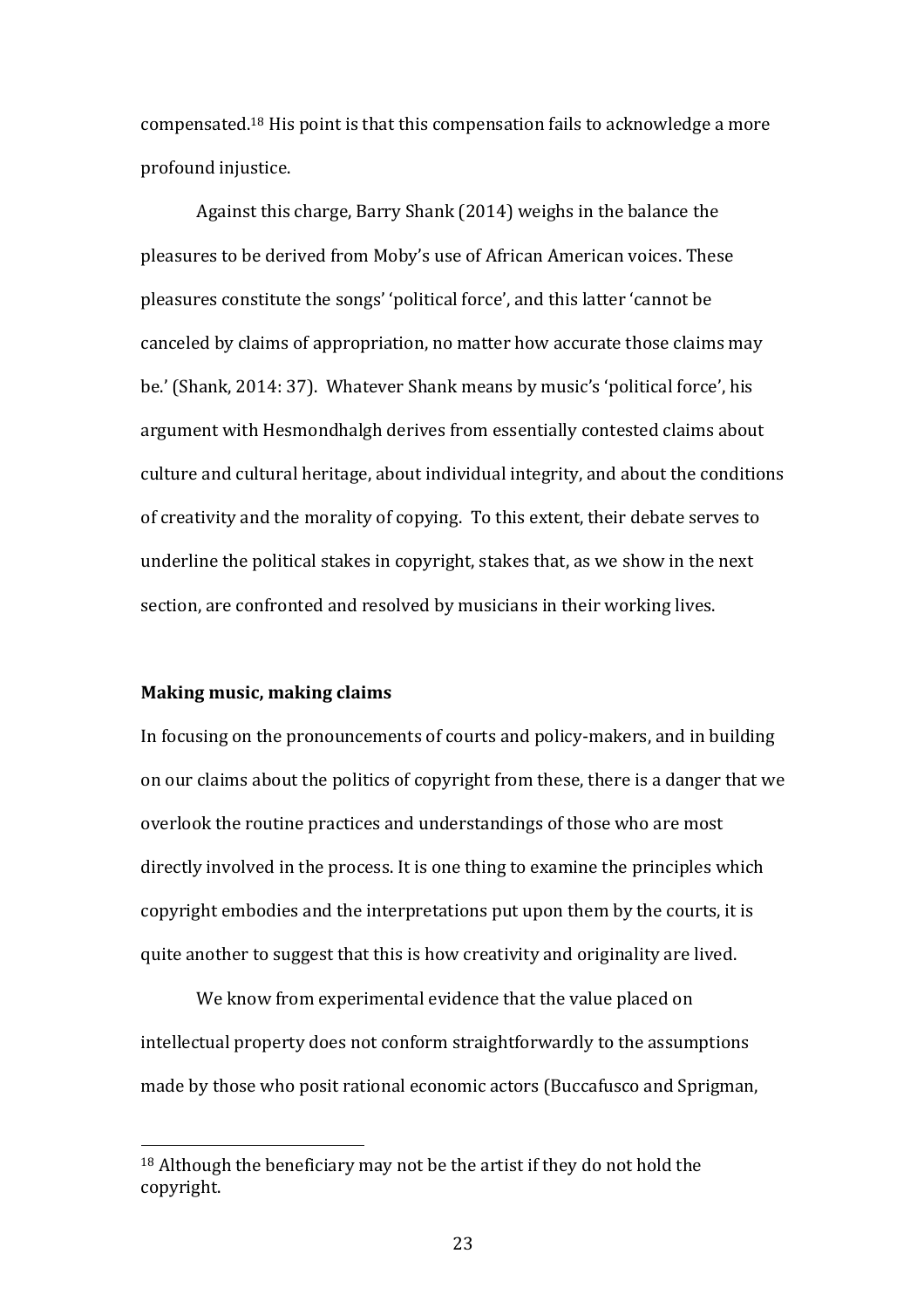compensated.<sup>18</sup> His point is that this compensation fails to acknowledge a more profound injustice.

Against this charge, Barry Shank (2014) weighs in the balance the pleasures to be derived from Moby's use of African American voices. These pleasures constitute the songs' 'political force', and this latter 'cannot be canceled by claims of appropriation, no matter how accurate those claims may be.' (Shank, 2014: 37). Whatever Shank means by music's 'political force', his argument with Hesmondhalgh derives from essentially contested claims about culture and cultural heritage, about individual integrity, and about the conditions of creativity and the morality of copying. To this extent, their debate serves to underline the political stakes in copyright, stakes that, as we show in the next section, are confronted and resolved by musicians in their working lives.

#### **Making music, making claims**

 

In focusing on the pronouncements of courts and policy-makers, and in building on our claims about the politics of copyright from these, there is a danger that we overlook the routine practices and understandings of those who are most directly involved in the process. It is one thing to examine the principles which copyright embodies and the interpretations put upon them by the courts, it is quite another to suggest that this is how creativity and originality are lived.

We know from experimental evidence that the value placed on intellectual property does not conform straightforwardly to the assumptions made by those who posit rational economic actors (Buccafusco and Sprigman,

 $18$  Although the beneficiary may not be the artist if they do not hold the copyright.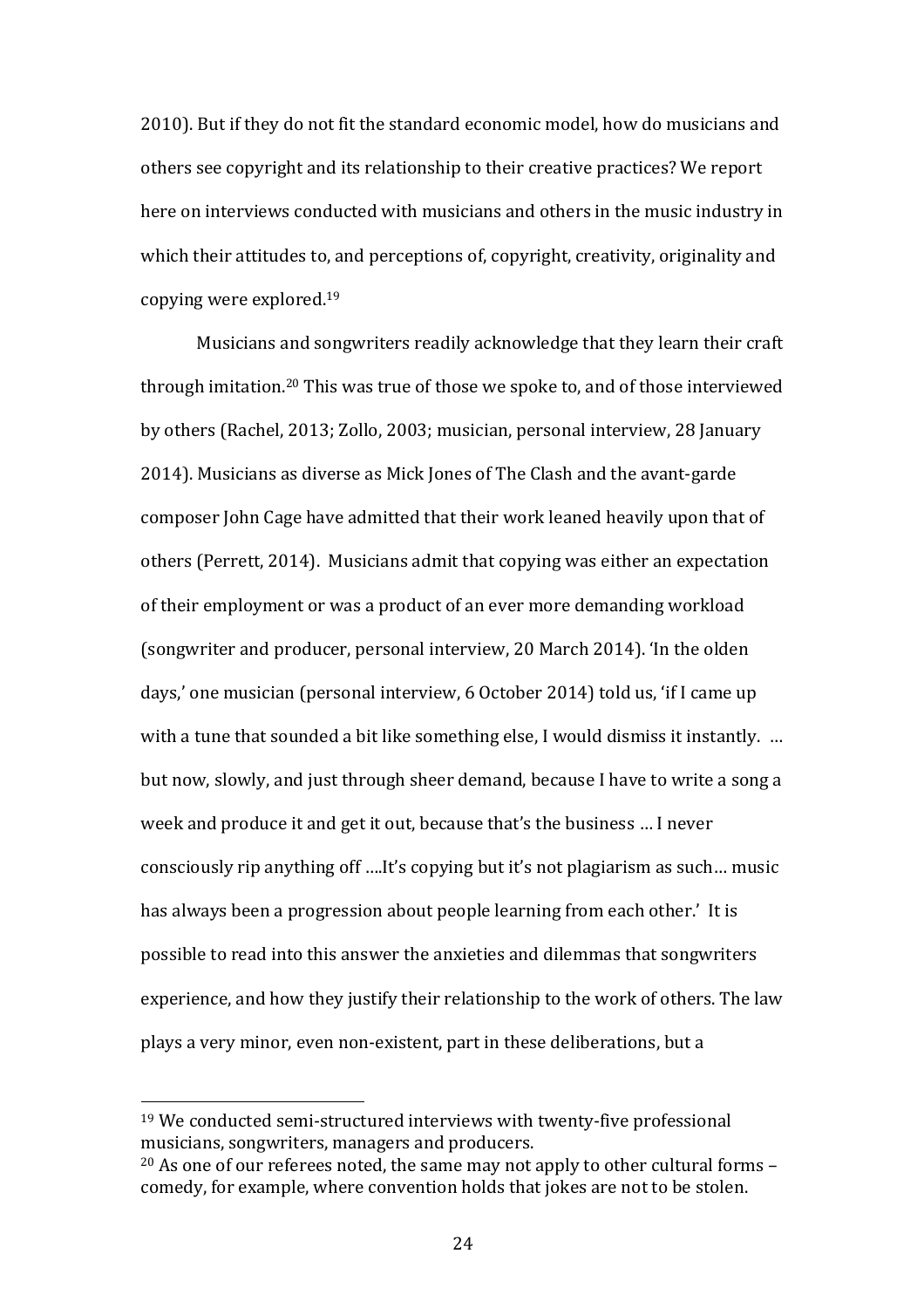2010). But if they do not fit the standard economic model, how do musicians and others see copyright and its relationship to their creative practices? We report here on interviews conducted with musicians and others in the music industry in which their attitudes to, and perceptions of, copyright, creativity, originality and copying were explored.<sup>19</sup>

Musicians and songwriters readily acknowledge that they learn their craft through imitation.<sup>20</sup> This was true of those we spoke to, and of those interviewed by others (Rachel, 2013; Zollo, 2003; musician, personal interview, 28 January 2014). Musicians as diverse as Mick Jones of The Clash and the avant-garde composer John Cage have admitted that their work leaned heavily upon that of others (Perrett, 2014). Musicians admit that copying was either an expectation of their employment or was a product of an ever more demanding workload (songwriter and producer, personal interview, 20 March 2014). Th the olden days,' one musician (personal interview, 6 October 2014) told us, 'if I came up with a tune that sounded a bit like something else, I would dismiss it instantly. ... but now, slowly, and just through sheer demand, because I have to write a song a week and produce it and get it out, because that's the business ... I never consciously rip anything off ....It's copying but it's not plagiarism as such... music has always been a progression about people learning from each other.' It is possible to read into this answer the anxieties and dilemmas that songwriters experience, and how they justify their relationship to the work of others. The law plays a very minor, even non-existent, part in these deliberations, but a

 $19$  We conducted semi-structured interviews with twenty-five professional musicians, songwriters, managers and producers.

 $20$  As one of our referees noted, the same may not apply to other cultural forms – comedy, for example, where convention holds that jokes are not to be stolen.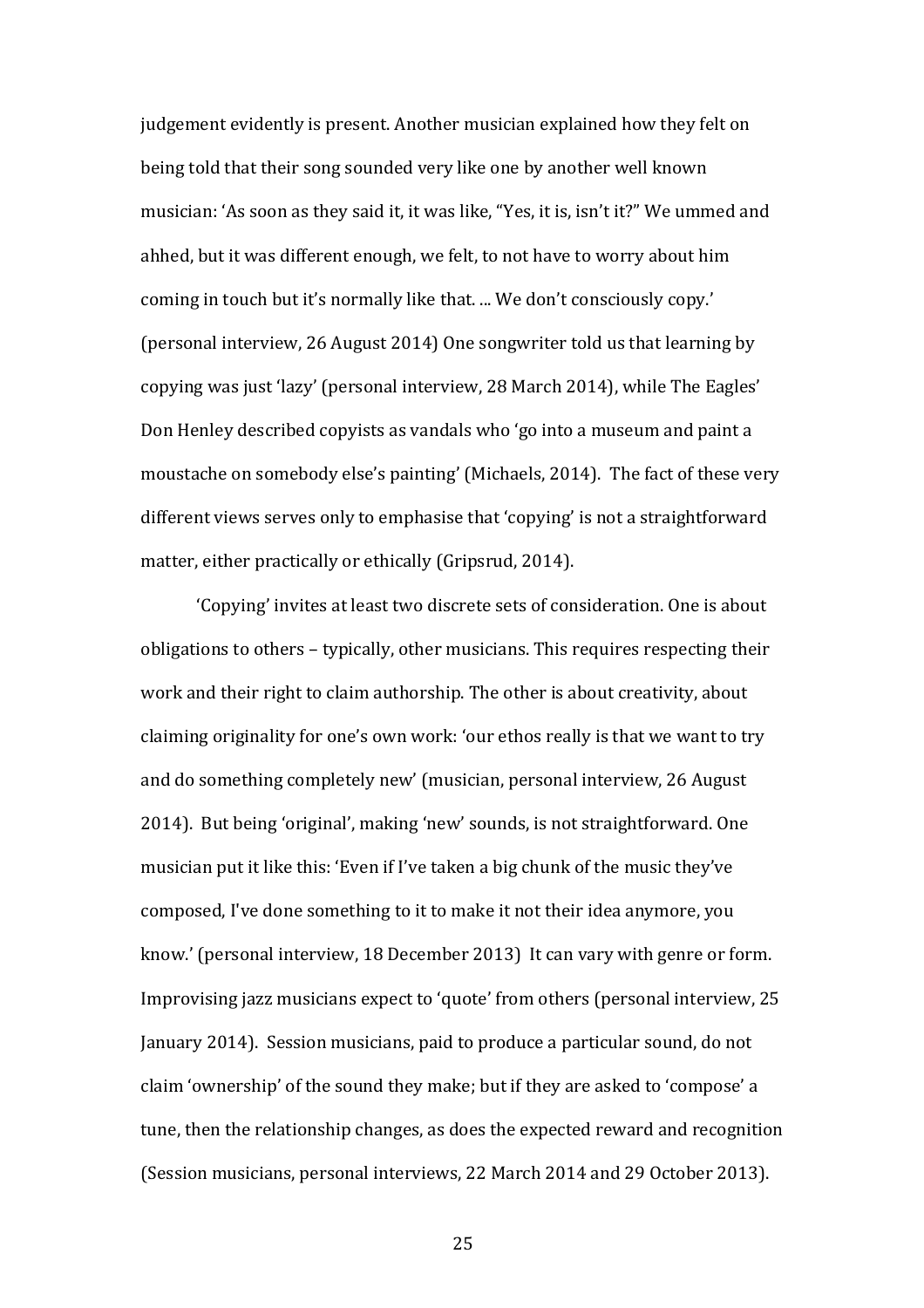judgement evidently is present. Another musician explained how they felt on being told that their song sounded very like one by another well known musician: 'As soon as they said it, it was like, "Yes, it is, isn't it?" We ummed and ahhed, but it was different enough, we felt, to not have to worry about him coming in touch but it's normally like that. ... We don't consciously copy.' (personal interview, 26 August 2014) One songwriter told us that learning by copying was just 'lazy' (personal interview, 28 March 2014), while The Eagles' Don Henley described copyists as vandals who 'go into a museum and paint a moustache on somebody else's painting' (Michaels, 2014). The fact of these very different views serves only to emphasise that 'copying' is not a straightforward matter, either practically or ethically (Gripsrud, 2014).

'Copying' invites at least two discrete sets of consideration. One is about obligations to others – typically, other musicians. This requires respecting their work and their right to claim authorship. The other is about creativity, about claiming originality for one's own work: 'our ethos really is that we want to try and do something completely new' (musician, personal interview, 26 August 2014). But being 'original', making 'new' sounds, is not straightforward. One musician put it like this: 'Even if I've taken a big chunk of the music they've composed, I've done something to it to make it not their idea anymore, you know.' (personal interview, 18 December 2013) It can vary with genre or form. Improvising jazz musicians expect to 'quote' from others (personal interview, 25 January 2014). Session musicians, paid to produce a particular sound, do not claim 'ownership' of the sound they make; but if they are asked to 'compose' a tune, then the relationship changes, as does the expected reward and recognition (Session musicians, personal interviews, 22 March 2014 and 29 October 2013).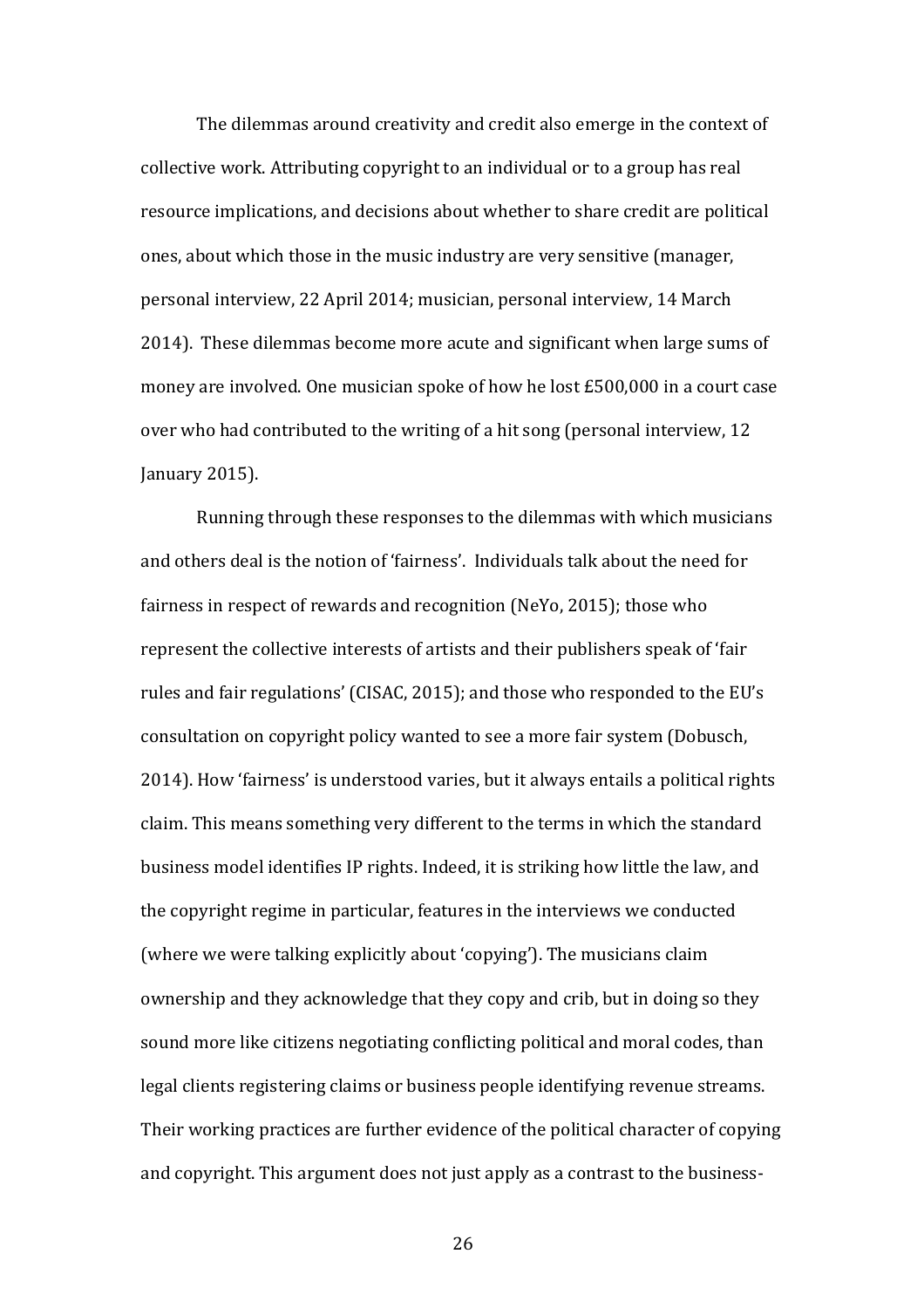The dilemmas around creativity and credit also emerge in the context of collective work. Attributing copyright to an individual or to a group has real resource implications, and decisions about whether to share credit are political ones, about which those in the music industry are very sensitive (manager, personal interview, 22 April 2014; musician, personal interview, 14 March 2014). These dilemmas become more acute and significant when large sums of money are involved. One musician spoke of how he lost £500,000 in a court case over who had contributed to the writing of a hit song (personal interview, 12 January 2015).

Running through these responses to the dilemmas with which musicians and others deal is the notion of 'fairness'. Individuals talk about the need for fairness in respect of rewards and recognition (NeYo, 2015); those who represent the collective interests of artists and their publishers speak of 'fair rules and fair regulations' (CISAC, 2015); and those who responded to the EU's consultation on copyright policy wanted to see a more fair system (Dobusch, 2014). How 'fairness' is understood varies, but it always entails a political rights claim. This means something very different to the terms in which the standard business model identifies IP rights. Indeed, it is striking how little the law, and the copyright regime in particular, features in the interviews we conducted (where we were talking explicitly about 'copying'). The musicians claim ownership and they acknowledge that they copy and crib, but in doing so they sound more like citizens negotiating conflicting political and moral codes, than legal clients registering claims or business people identifying revenue streams. Their working practices are further evidence of the political character of copying and copyright. This argument does not just apply as a contrast to the business-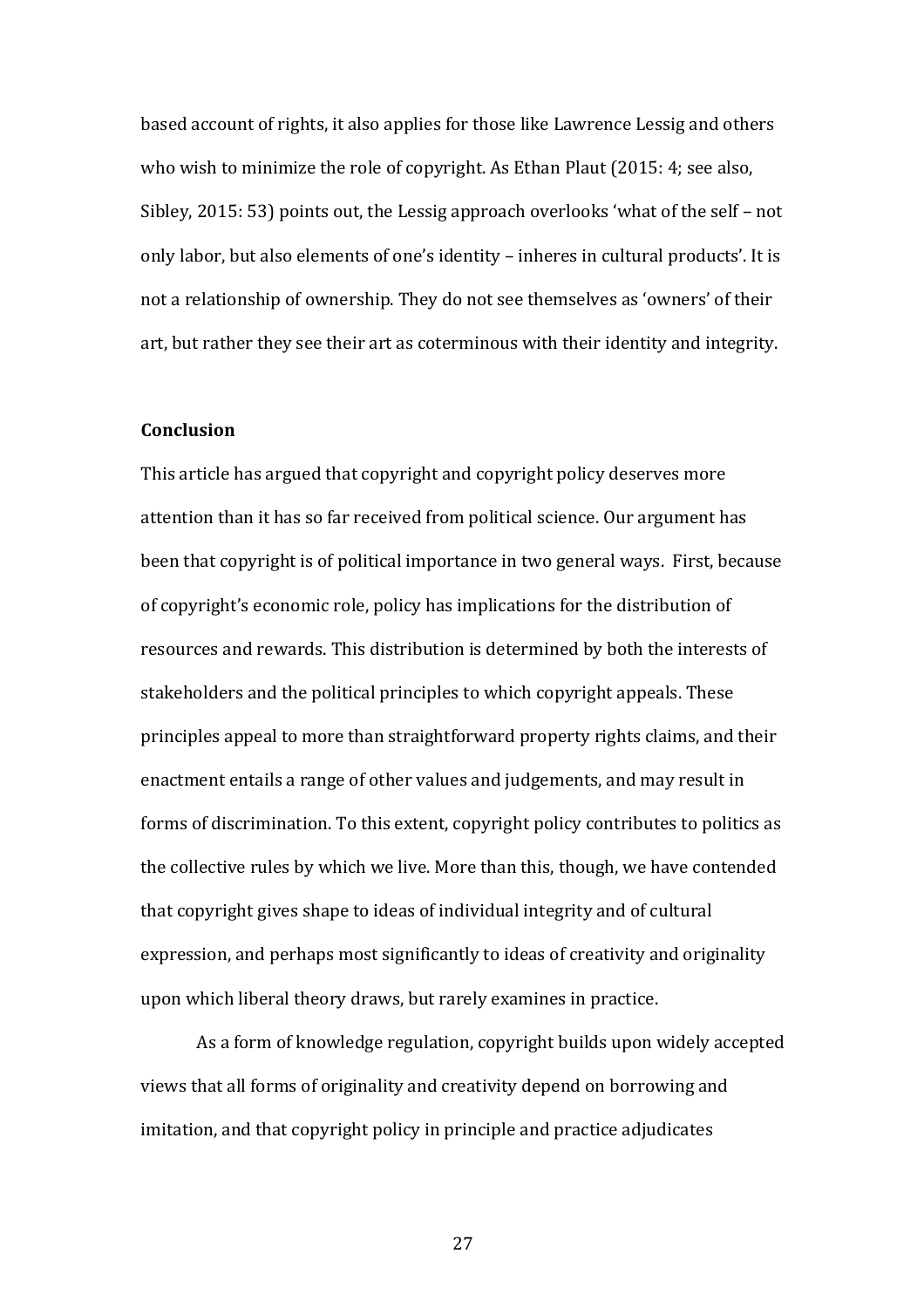based account of rights, it also applies for those like Lawrence Lessig and others who wish to minimize the role of copyright. As Ethan Plaut  $(2015: 4; \text{see also})$ Sibley, 2015: 53) points out, the Lessig approach overlooks 'what of the self – not only labor, but also elements of one's identity – inheres in cultural products'. It is not a relationship of ownership. They do not see themselves as 'owners' of their art, but rather they see their art as coterminous with their identity and integrity.

## **Conclusion**

This article has argued that copyright and copyright policy deserves more attention than it has so far received from political science. Our argument has been that copyright is of political importance in two general ways. First, because of copyright's economic role, policy has implications for the distribution of resources and rewards. This distribution is determined by both the interests of stakeholders and the political principles to which copyright appeals. These principles appeal to more than straightforward property rights claims, and their enactment entails a range of other values and judgements, and may result in forms of discrimination. To this extent, copyright policy contributes to politics as the collective rules by which we live. More than this, though, we have contended that copyright gives shape to ideas of individual integrity and of cultural expression, and perhaps most significantly to ideas of creativity and originality upon which liberal theory draws, but rarely examines in practice.

As a form of knowledge regulation, copyright builds upon widely accepted views that all forms of originality and creativity depend on borrowing and imitation, and that copyright policy in principle and practice adjudicates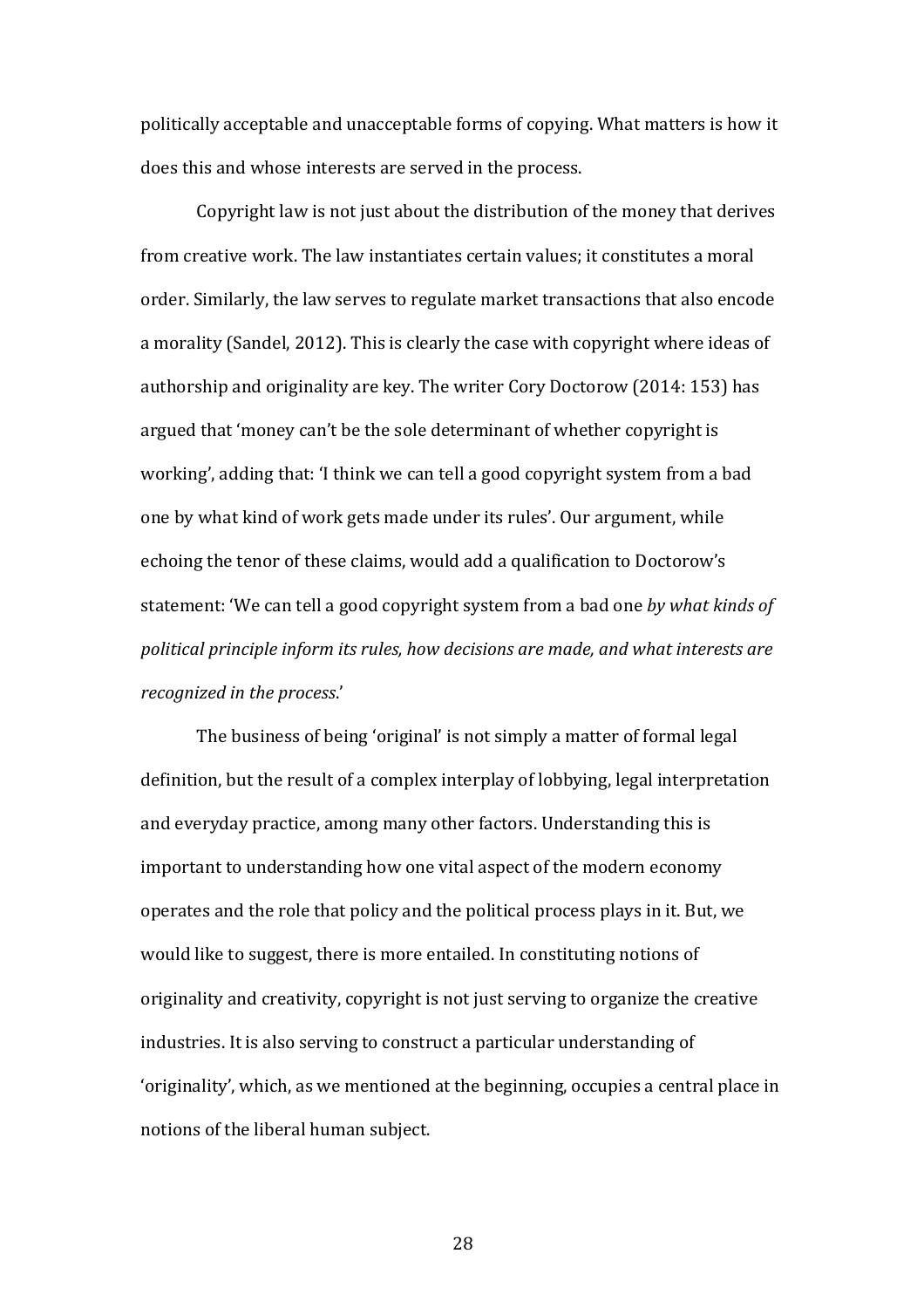politically acceptable and unacceptable forms of copying. What matters is how it does this and whose interests are served in the process.

Copyright law is not just about the distribution of the money that derives from creative work. The law instantiates certain values: it constitutes a moral order. Similarly, the law serves to regulate market transactions that also encode a morality (Sandel, 2012). This is clearly the case with copyright where ideas of authorship and originality are key. The writer Cory Doctorow (2014: 153) has argued that 'money can't be the sole determinant of whether copyright is working', adding that: 'I think we can tell a good copyright system from a bad one by what kind of work gets made under its rules'. Our argument, while echoing the tenor of these claims, would add a qualification to Doctorow's statement: 'We can tell a good copyright system from a bad one *by what kinds of* political principle inform its rules, how decisions are made, and what interests are *recognized in the process.'* 

The business of being 'original' is not simply a matter of formal legal definition, but the result of a complex interplay of lobbying, legal interpretation and everyday practice, among many other factors. Understanding this is important to understanding how one vital aspect of the modern economy operates and the role that policy and the political process plays in it. But, we would like to suggest, there is more entailed. In constituting notions of originality and creativity, copyright is not just serving to organize the creative industries. It is also serving to construct a particular understanding of 'originality', which, as we mentioned at the beginning, occupies a central place in notions of the liberal human subject.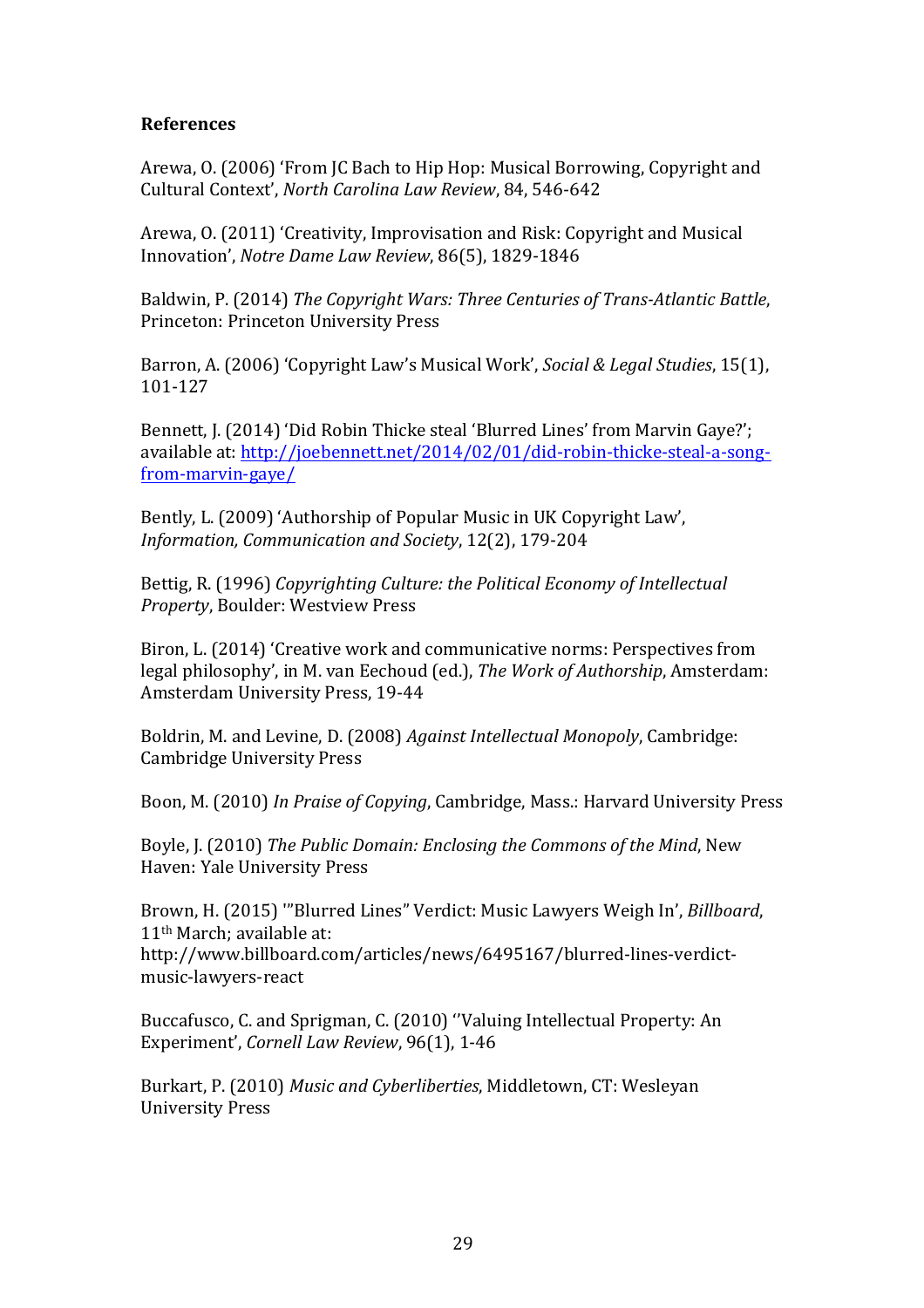# **References**

Arewa, O. (2006) 'From JC Bach to Hip Hop: Musical Borrowing, Copyright and Cultural Context', *North Carolina Law Review*, 84, 546-642

Arewa, O. (2011) 'Creativity, Improvisation and Risk: Copyright and Musical Innovation', *Notre Dame Law Review*, 86(5), 1829-1846

Baldwin, P. (2014) The Copyright Wars: Three Centuries of Trans-Atlantic Battle, Princeton: Princeton University Press

Barron, A. (2006) 'Copyright Law's Musical Work', *Social & Legal Studies*, 15(1), 101-127

Bennett, J. (2014) 'Did Robin Thicke steal 'Blurred Lines' from Marvin Gaye?'; available at: http://joebennett.net/2014/02/01/did-robin-thicke-steal-a-songfrom-marvin-gaye/

Bently, L. (2009) 'Authorship of Popular Music in UK Copyright Law', *Information, Communication and Society*, 12(2), 179-204 

Bettig, R. (1996) *Copyrighting Culture: the Political Economy of Intellectual* **Property, Boulder: Westview Press** 

Biron, L. (2014) 'Creative work and communicative norms: Perspectives from legal philosophy', in M. van Eechoud (ed.), *The Work of Authorship*, Amsterdam: Amsterdam University Press, 19-44

Boldrin, M. and Levine, D. (2008) *Against Intellectual Monopoly*, Cambridge: Cambridge University Press

Boon, M. (2010) In Praise of Copying, Cambridge, Mass.: Harvard University Press

Boyle, J. (2010) *The Public Domain: Enclosing the Commons of the Mind*, New Haven: Yale University Press

Brown, H. (2015) "'Blurred Lines" Verdict: Music Lawyers Weigh In', *Billboard*,  $11<sup>th</sup> March: available at:$ 

http://www.billboard.com/articles/news/6495167/blurred-lines-verdictmusic-lawyers-react

Buccafusco, C. and Sprigman, C. (2010) "Valuing Intellectual Property: An Experiment', Cornell Law Review, 96(1), 1-46

Burkart, P. (2010) *Music and Cyberliberties*, Middletown, CT: Wesleyan University Press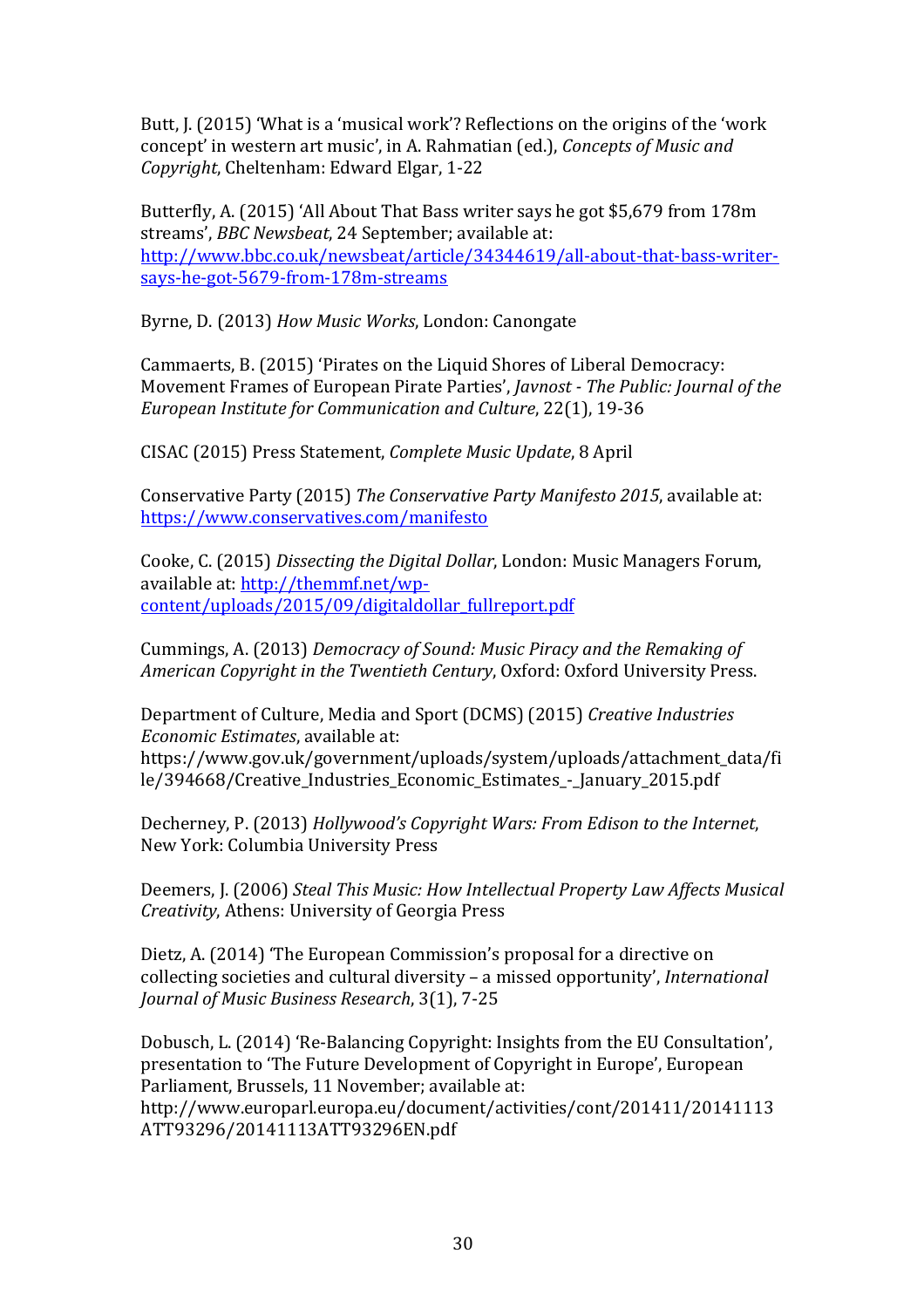Butt, J. (2015) 'What is a 'musical work'? Reflections on the origins of the 'work concept' in western art music', in A. Rahmatian (ed.), *Concepts of Music and Copyright*, Cheltenham: Edward Elgar, 1-22

Butterfly, A. (2015) 'All About That Bass writer says he got \$5,679 from 178m streams', *BBC Newsbeat*, 24 September; available at: http://www.bbc.co.uk/newsbeat/article/34344619/all-about-that-bass-writersays-he-got-5679-from-178m-streams

Byrne, D. (2013) *How Music Works*, London: Canongate

Cammaerts, B. (2015) 'Pirates on the Liquid Shores of Liberal Democracy: Movement Frames of European Pirate Parties', *Javnost - The Public: Journal of the European Institute for Communication and Culture*, 22(1), 19-36

CISAC (2015) Press Statement, *Complete Music Update*, 8 April

Conservative Party (2015) The Conservative Party Manifesto 2015, available at: https://www.conservatives.com/manifesto

Cooke, C. (2015) *Dissecting the Digital Dollar*, London: Music Managers Forum, available at: http://themmf.net/wpcontent/uploads/2015/09/digitaldollar\_fullreport.pdf

Cummings, A. (2013) *Democracy of Sound: Music Piracy and the Remaking of American Copyright in the Twentieth Century, Oxford: Oxford University Press.* 

Department of Culture, Media and Sport (DCMS) (2015) *Creative Industries Economic Estimates*, available at: 

https://www.gov.uk/government/uploads/system/uploads/attachment\_data/fi le/394668/Creative Industries Economic Estimates - January 2015.pdf

Decherney, P. (2013) *Hollywood's Copyright Wars: From Edison to the Internet,* New York: Columbia University Press

Deemers, J. (2006) Steal This Music: How Intellectual Property Law Affects Musical *Creativity*, Athens: University of Georgia Press

Dietz, A. (2014) 'The European Commission's proposal for a directive on collecting societies and cultural diversity – a missed opportunity', *International Journal of Music Business Research,* 3(1), 7-25

Dobusch, L. (2014) 'Re-Balancing Copyright: Insights from the EU Consultation', presentation to 'The Future Development of Copyright in Europe', European Parliament, Brussels, 11 November; available at: http://www.europarl.europa.eu/document/activities/cont/201411/20141113 ATT93296/20141113ATT93296EN.pdf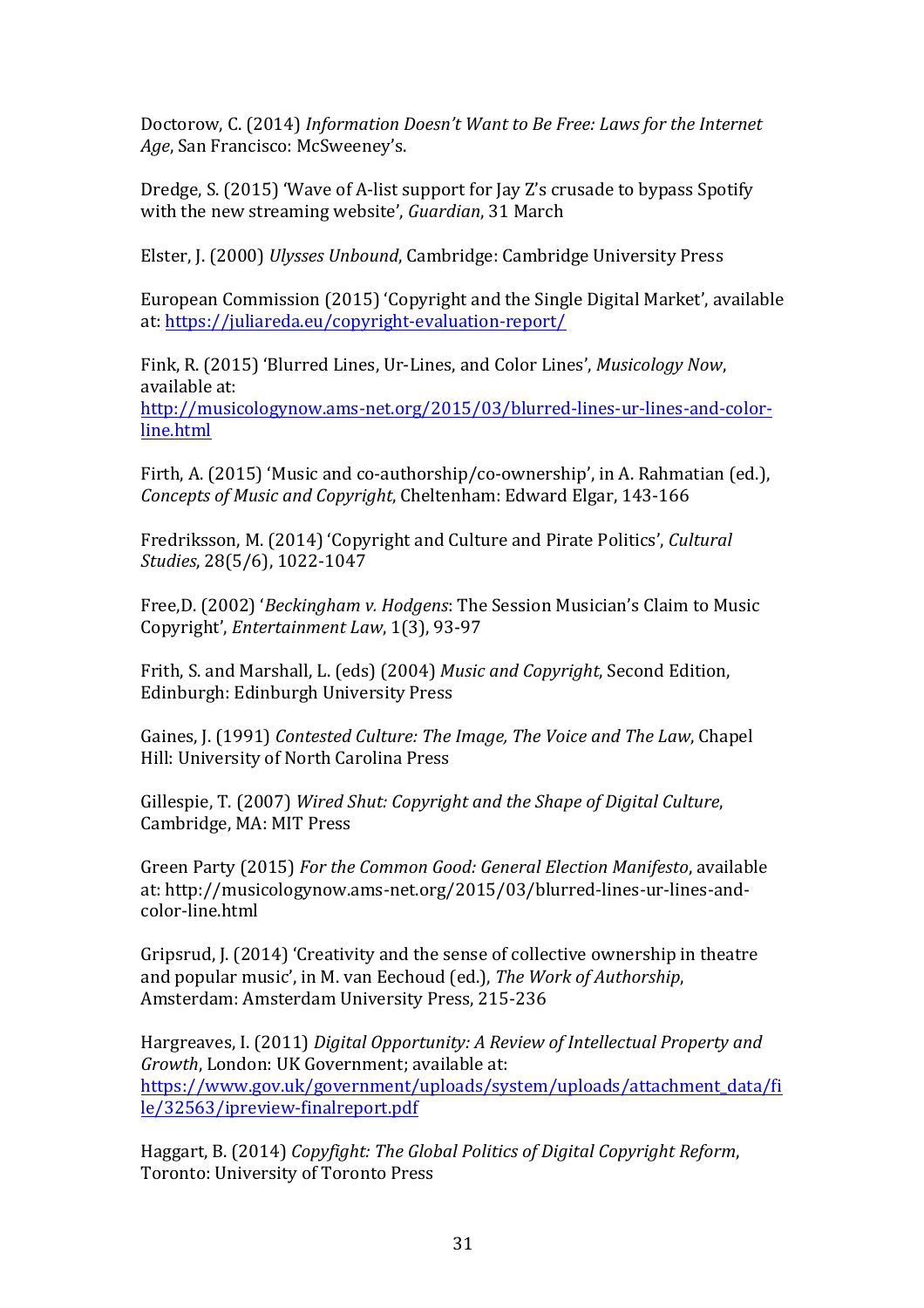Doctorow, C. (2014) *Information Doesn't Want to Be Free: Laws for the Internet* Age, San Francisco: McSweeney's.

Dredge, S. (2015) 'Wave of A-list support for Jay Z's crusade to bypass Spotify with the new streaming website', *Guardian*, 31 March

Elster, J. (2000) *Ulysses Unbound*, Cambridge: Cambridge University Press

European Commission (2015) 'Copyright and the Single Digital Market', available at: https://juliareda.eu/copyright-evaluation-report/

Fink, R. (2015) 'Blurred Lines, Ur-Lines, and Color Lines', *Musicology Now*, available at: http://musicologynow.ams-net.org/2015/03/blurred-lines-ur-lines-and-colorline.html

Firth, A. (2015) 'Music and co-authorship/co-ownership', in A. Rahmatian (ed.), *Concepts of Music and Copyright, Cheltenham: Edward Elgar, 143-166* 

Fredriksson, M. (2014) 'Copyright and Culture and Pirate Politics', *Cultural Studies*, 28(5/6), 1022-1047

Free, D. (2002) '*Beckingham v. Hodgens*: The Session Musician's Claim to Music Copyright', *Entertainment Law*, 1(3), 93-97

Frith, S. and Marshall, L. (eds) (2004) *Music and Copyright*, Second Edition, Edinburgh: Edinburgh University Press

Gaines, J. (1991) *Contested Culture: The Image, The Voice and The Law*, Chapel Hill: University of North Carolina Press

Gillespie, T. (2007) Wired Shut: Copyright and the Shape of Digital Culture, Cambridge, MA: MIT Press

Green Party (2015) For the Common Good: General Election Manifesto, available at: http://musicologynow.ams-net.org/2015/03/blurred-lines-ur-lines-andcolor-line.html

Gripsrud, J. (2014) 'Creativity and the sense of collective ownership in theatre and popular music', in M. van Eechoud (ed.), *The Work of Authorship*, Amsterdam: Amsterdam University Press, 215-236

Hargreaves, I. (2011) *Digital Opportunity: A Review of Intellectual Property and Growth*, London: UK Government: available at: https://www.gov.uk/government/uploads/system/uploads/attachment\_data/fi le/32563/ipreview-finalreport.pdf

Haggart, B. (2014) *Copyfight: The Global Politics of Digital Copyright Reform*, Toronto: University of Toronto Press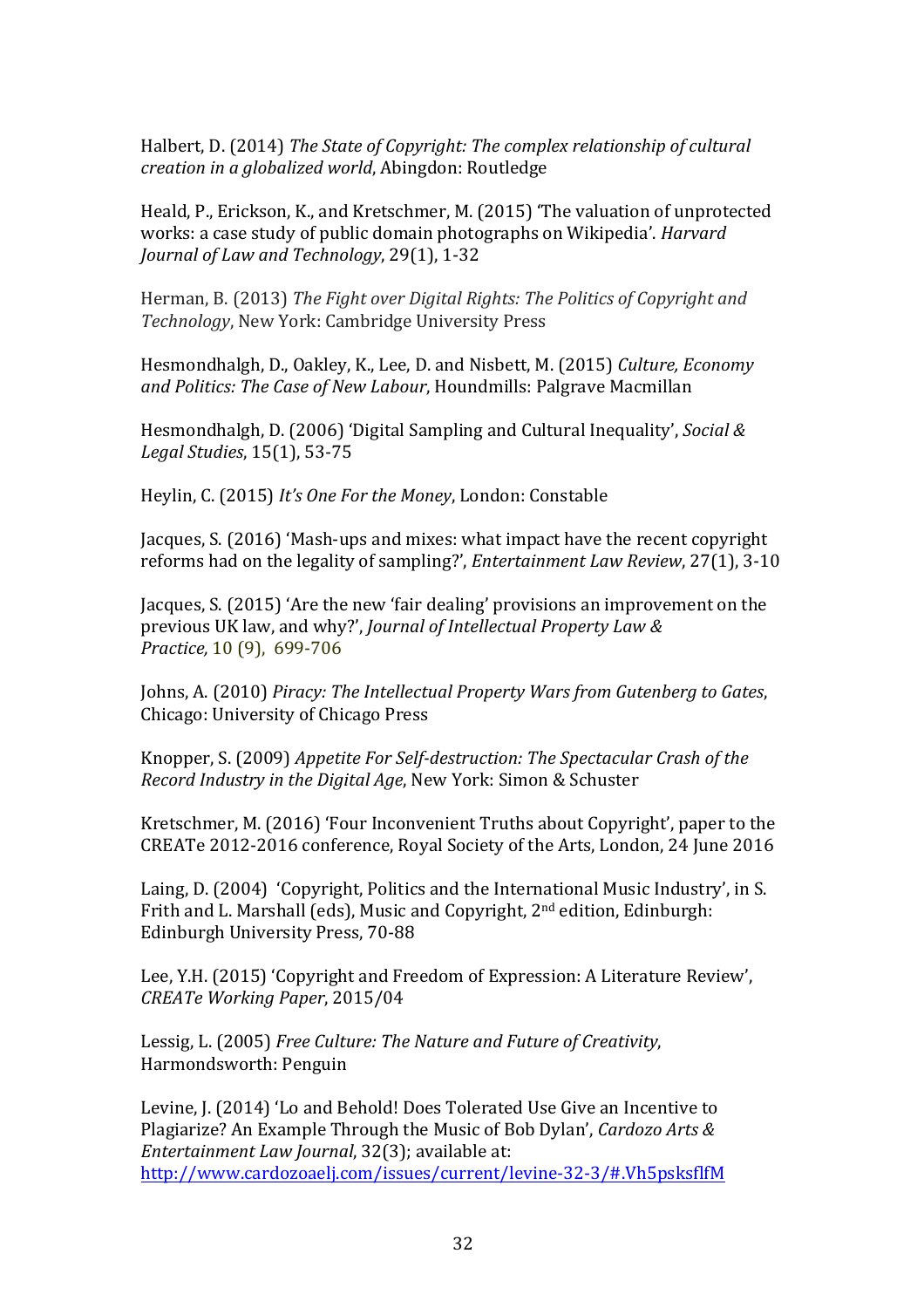Halbert, D. (2014) *The State of Copyright: The complex relationship of cultural creation in a globalized world*, Abingdon: Routledge

Heald, P., Erickson, K., and Kretschmer, M. (2015) 'The valuation of unprotected works: a case study of public domain photographs on Wikipedia'. *Harvard Journal of Law and Technology, 29(1), 1-32* 

Herman, B. (2013) *The Fight over Digital Rights: The Politics of Copyright and* **Technology, New York: Cambridge University Press** 

Hesmondhalgh, D., Oakley, K., Lee, D. and Nisbett, M. (2015) *Culture, Economy* and Politics: The Case of New Labour, Houndmills: Palgrave Macmillan

Hesmondhalgh, D. (2006) 'Digital Sampling and Cultural Inequality', *Social & Legal Studies*, 15(1), 53-75

Heylin, C. (2015) *It's One For the Money*, London: Constable

Jacques, S. (2016) 'Mash-ups and mixes: what impact have the recent copyright reforms had on the legality of sampling?', *Entertainment Law Review*, 27(1), 3-10

Jacques, S. (2015) 'Are the new 'fair dealing' provisions an improvement on the previous UK law, and why?', *Journal of Intellectual Property Law & Practice,* 10 (9), 699-706

Johns, A. (2010) *Piracy: The Intellectual Property Wars from Gutenberg to Gates*, Chicago: University of Chicago Press

Knopper, S. (2009) *Appetite For Self-destruction: The Spectacular Crash of the Record Industry in the Digital Age*, New York: Simon & Schuster

Kretschmer, M. (2016) 'Four Inconvenient Truths about Copyright', paper to the CREATe 2012-2016 conference, Royal Society of the Arts, London, 24 June 2016

Laing, D. (2004) 'Copyright, Politics and the International Music Industry', in S. Frith and L. Marshall (eds), Music and Copyright, 2<sup>nd</sup> edition, Edinburgh: Edinburgh University Press, 70-88

Lee, Y.H. (2015) 'Copyright and Freedom of Expression: A Literature Review', *CREATe Working Paper*, 2015/04 

Lessig, L. (2005) *Free Culture: The Nature and Future of Creativity*, Harmondsworth: Penguin

Levine, J. (2014) 'Lo and Behold! Does Tolerated Use Give an Incentive to Plagiarize? An Example Through the Music of Bob Dylan', *Cardozo Arts & Entertainment Law Journal*, 32(3); available at: http://www.cardozoaelj.com/issues/current/levine-32-3/#.Vh5psksflfM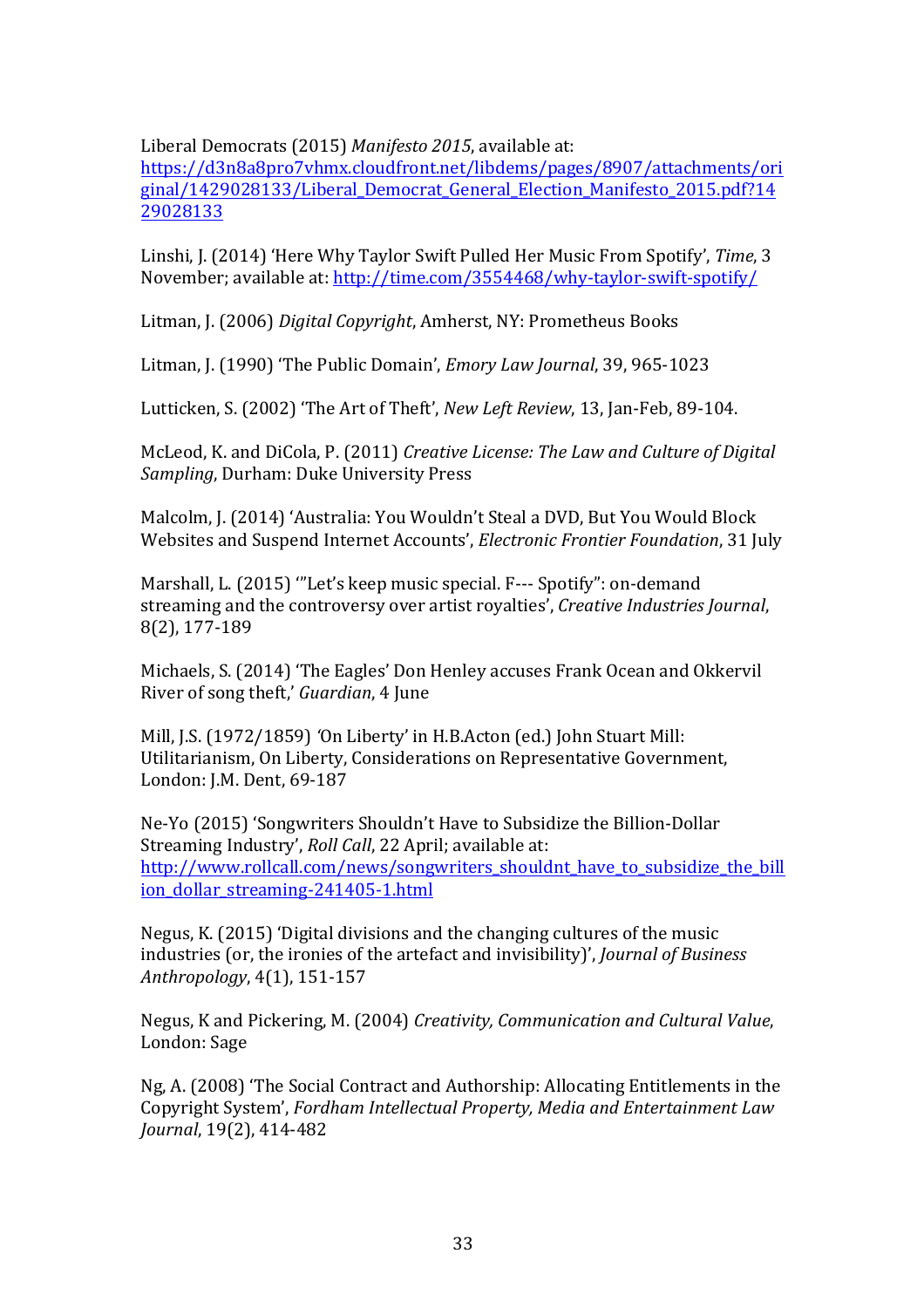Liberal Democrats (2015) Manifesto 2015, available at:

https://d3n8a8pro7vhmx.cloudfront.net/libdems/pages/8907/attachments/ori ginal/1429028133/Liberal\_Democrat\_General\_Election\_Manifesto\_2015.pdf?14 29028133

Linshi, J. (2014) 'Here Why Taylor Swift Pulled Her Music From Spotify', Time, 3 November; available at: http://time.com/3554468/why-taylor-swift-spotify/

Litman, J. (2006) *Digital Copyright*, Amherst, NY: Prometheus Books

Litman, J. (1990) 'The Public Domain', *Emory Law Journal*, 39, 965-1023

Lutticken, S. (2002) 'The Art of Theft', *New Left Review*, 13, Jan-Feb, 89-104.

McLeod, K. and DiCola, P. (2011) *Creative License: The Law and Culture of Digital Sampling*, Durham: Duke University Press

Malcolm, J. (2014) 'Australia: You Wouldn't Steal a DVD, But You Would Block Websites and Suspend Internet Accounts', *Electronic Frontier Foundation*, 31 July

Marshall, L. (2015) "Let's keep music special. F--- Spotify": on-demand streaming and the controversy over artist royalties', *Creative Industries Journal*, 8(2), 177-189

Michaels, S. (2014) 'The Eagles' Don Henley accuses Frank Ocean and Okkervil River of song theft,' *Guardian*, 4 June

Mill, J.S. (1972/1859) 'On Liberty' in H.B.Acton (ed.) John Stuart Mill: Utilitarianism, On Liberty, Considerations on Representative Government, London: J.M. Dent, 69-187

Ne-Yo (2015) 'Songwriters Shouldn't Have to Subsidize the Billion-Dollar Streaming Industry', *Roll Call*, 22 April; available at: http://www.rollcall.com/news/songwriters\_shouldnt\_have\_to\_subsidize\_the\_bill\_ ion\_dollar\_streaming-241405-1.html

Negus, K. (2015) 'Digital divisions and the changing cultures of the music industries (or, the ironies of the artefact and invisibility)', *Journal of Business Anthropology*, 4(1), 151-157 

Negus, K and Pickering, M. (2004) *Creativity, Communication and Cultural Value*. London: Sage

Ng, A. (2008) 'The Social Contract and Authorship: Allocating Entitlements in the Copyright System', *Fordham Intellectual Property, Media and Entertainment Law Journal*, 19(2), 414-482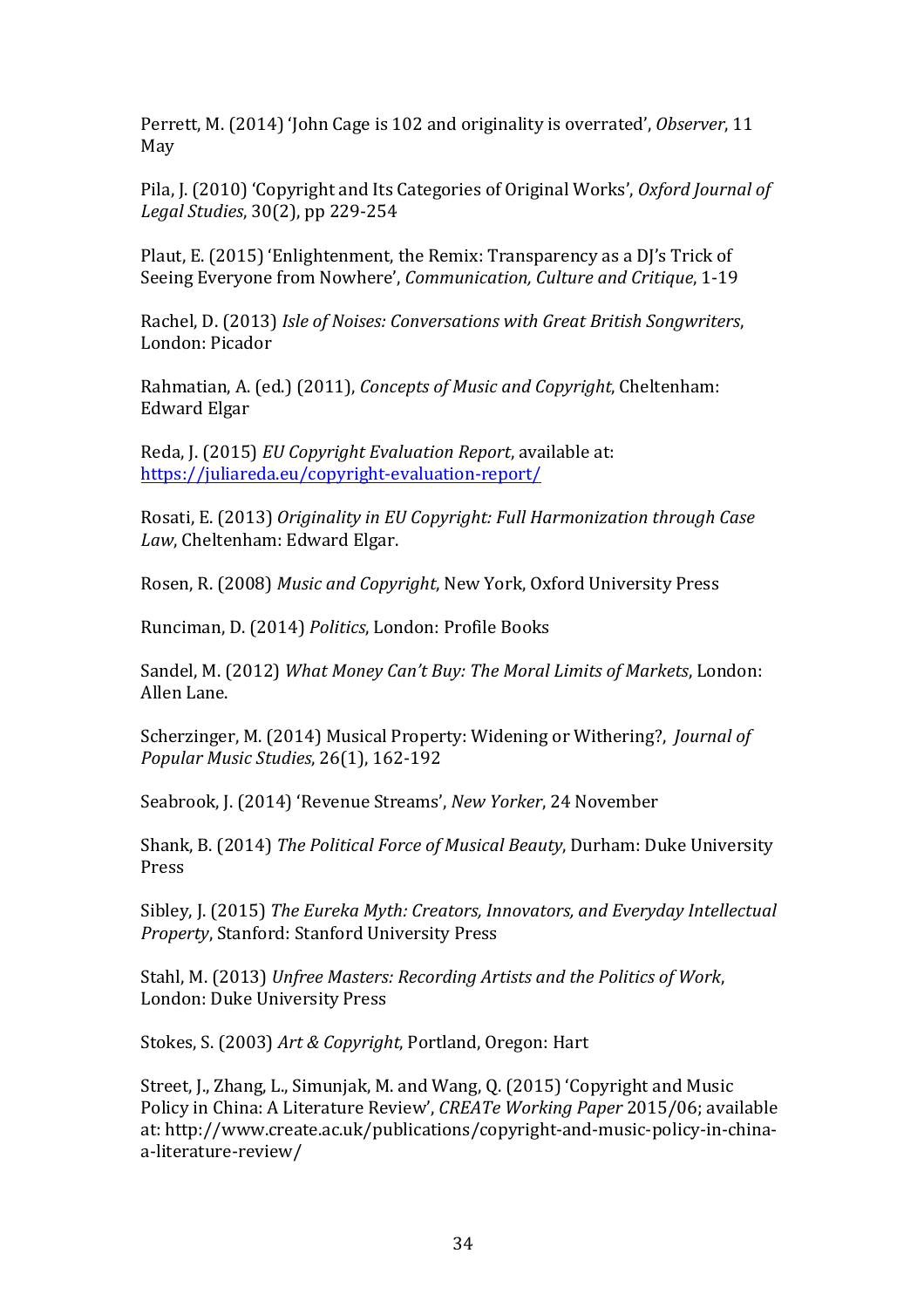Perrett, M. (2014) 'John Cage is 102 and originality is overrated', *Observer*, 11 May

Pila, J. (2010) 'Copyright and Its Categories of Original Works', *Oxford Journal of Legal Studies*, 30(2), pp 229-254

Plaut, E. (2015) 'Enlightenment, the Remix: Transparency as a DI's Trick of Seeing Everyone from Nowhere', *Communication*, *Culture and Critique*, 1-19

Rachel, D. (2013) *Isle of Noises: Conversations with Great British Songwriters,* London: Picador 

Rahmatian, A. (ed.) (2011), *Concepts of Music and Copyright*, Cheltenham: Edward Elgar

Reda, J. (2015) *EU Copyright Evaluation Report*, available at: https://juliareda.eu/copyright-evaluation-report/

Rosati, E. (2013) Originality in EU Copyright: Full Harmonization through Case Law, Cheltenham: Edward Elgar.

Rosen, R. (2008) *Music and Copyright*, New York, Oxford University Press

Runciman, D. (2014) *Politics*, London: Profile Books

Sandel, M. (2012) What Money Can't Buy: The Moral Limits of Markets, London: Allen Lane.

Scherzinger, M. (2014) Musical Property: Widening or Withering?, *Journal of Popular Music Studies*, 26(1), 162-192

Seabrook, J. (2014) 'Revenue Streams', *New Yorker*, 24 November

Shank, B. (2014) *The Political Force of Musical Beauty*, Durham: Duke University Press

Sibley, J. (2015) The Eureka Myth: Creators, Innovators, and Everyday Intellectual *Property*, Stanford: Stanford University Press

Stahl, M. (2013) Unfree Masters: Recording Artists and the Politics of Work, London: Duke University Press

Stokes, S. (2003) Art & Copyright, Portland, Oregon: Hart

Street, J., Zhang, L., Simunjak, M. and Wang, Q. (2015) 'Copyright and Music Policy in China: A Literature Review', *CREATe Working Paper* 2015/06; available at: http://www.create.ac.uk/publications/copyright-and-music-policy-in-chinaa-literature-review/